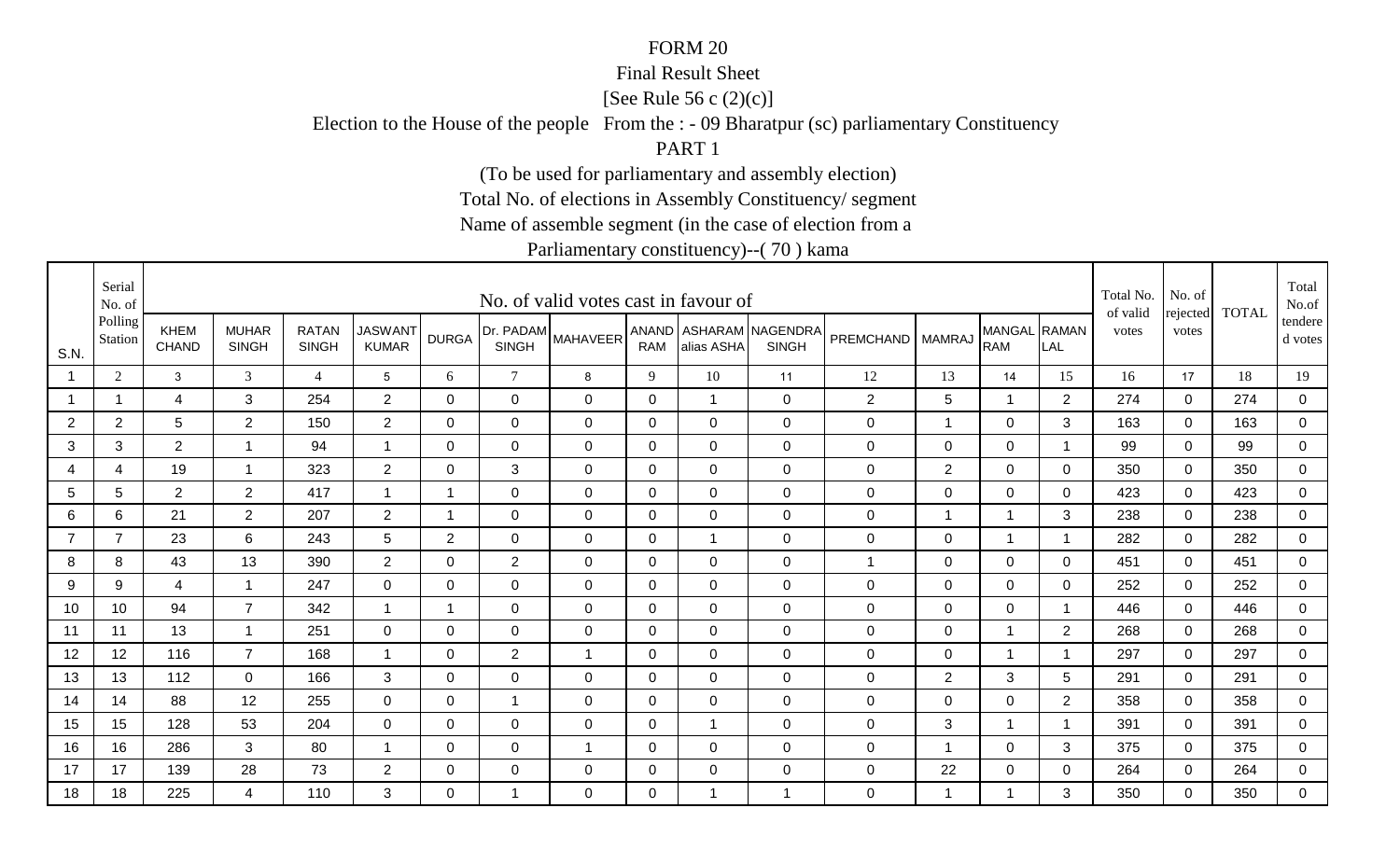#### Final Result Sheet

[See Rule 56 c (2)(c)]

Election to the House of the people From the : - 09 Bharatpur (sc) parliamentary Constituency

PART 1

(To be used for parliamentary and assembly election)

Total No. of elections in Assembly Constituency/ segment

Name of assemble segment (in the case of election from a

|                | Serial<br>No. of   |                      |                              |                              |                                |                |                           | No. of valid votes cast in favour of |              |                |                                        |                  |                |                            |                | Total No.<br>of valid | No. of<br>rejected | <b>TOTAL</b> | Total<br>No.of       |
|----------------|--------------------|----------------------|------------------------------|------------------------------|--------------------------------|----------------|---------------------------|--------------------------------------|--------------|----------------|----------------------------------------|------------------|----------------|----------------------------|----------------|-----------------------|--------------------|--------------|----------------------|
| S.N.           | Polling<br>Station | <b>KHEM</b><br>CHAND | <b>MUHAR</b><br><b>SINGH</b> | <b>RATAN</b><br><b>SINGH</b> | <b>JASWANT</b><br><b>KUMAR</b> | <b>DURGA</b>   | Dr. PADAM<br><b>SINGH</b> | <b>MAHAVEER</b>                      | <b>RAM</b>   | alias ASHA     | ANAND ASHARAM NAGENDRA<br><b>SINGH</b> | PREMCHAND MAMRAJ |                | MANGAL RAMAN<br><b>RAM</b> | LAL            | votes                 | votes              |              | tendere  <br>d votes |
|                | 2                  | $\mathbf{3}$         | 3                            | $\overline{4}$               | 5                              | 6              | $7\overline{ }$           | 8                                    | 9            | 10             | 11                                     | 12               | 13             | 14                         | 15             | 16                    | 17                 | 18           | 19                   |
|                | -1                 | 4                    | 3                            | 254                          | $\overline{2}$                 | $\Omega$       | $\mathbf 0$               | $\mathbf 0$                          | 0            | $\mathbf{1}$   | $\mathbf 0$                            | $\overline{2}$   | 5              | $\mathbf 1$                | $\overline{2}$ | 274                   | $\overline{0}$     | 274          | $\overline{0}$       |
| $\overline{2}$ | $\overline{2}$     | 5                    | $\overline{2}$               | 150                          | $\overline{2}$                 | $\mathbf 0$    | $\mathbf 0$               | $\mathbf 0$                          | 0            | $\overline{0}$ | $\mathbf 0$                            | $\mathbf 0$      | -1             | $\overline{0}$             | 3              | 163                   | $\mathbf 0$        | 163          | $\overline{0}$       |
| 3              | 3                  | 2                    | -1                           | 94                           | -1                             | 0              | 0                         | $\mathbf 0$                          | 0            | $\mathbf 0$    | $\mathbf 0$                            | $\pmb{0}$        | 0              | $\mathbf 0$                | $\overline{1}$ | 99                    | $\Omega$           | 99           | 0                    |
| 4              | 4                  | 19                   | $\overline{1}$               | 323                          | $\overline{2}$                 | 0              | 3                         | $\mathbf 0$                          | $\mathbf 0$  | $\overline{0}$ | $\mathbf 0$                            | $\pmb{0}$        | $\sqrt{2}$     | $\mathbf 0$                | 0              | 350                   | $\mathbf 0$        | 350          | $\overline{0}$       |
| 5              | 5                  | 2                    | $\overline{2}$               | 417                          |                                | 1              | $\mathbf 0$               | $\mathbf 0$                          | 0            | $\overline{0}$ | $\mathbf 0$                            | $\pmb{0}$        | $\mathbf 0$    | $\mathbf 0$                | 0              | 423                   | $\mathbf 0$        | 423          | 0                    |
| 6              | 6                  | 21                   | $\overline{2}$               | 207                          | $\overline{2}$                 | 1              | 0                         | $\mathbf 0$                          | 0            | $\Omega$       | $\mathbf 0$                            | $\mathbf 0$      | -1             | $\overline{\mathbf{1}}$    | 3              | 238                   | $\mathbf{0}$       | 238          | 0                    |
| $\overline{7}$ | $\overline{7}$     | 23                   | 6                            | 243                          | $5\phantom{.0}$                | $\overline{2}$ | $\mathbf 0$               | $\mathbf 0$                          | $\mathbf 0$  | $\mathbf{1}$   | $\mathbf 0$                            | $\pmb{0}$        | $\mathbf 0$    | 1                          |                | 282                   | $\mathbf 0$        | 282          | $\overline{0}$       |
| 8              | 8                  | 43                   | 13                           | 390                          | $\overline{2}$                 | $\Omega$       | $\overline{2}$            | $\mathbf 0$                          | $\mathbf{0}$ | $\mathbf 0$    | $\mathbf 0$                            | 1                | $\mathbf 0$    | $\mathbf 0$                | $\Omega$       | 451                   | $\mathbf 0$        | 451          | $\mathbf 0$          |
| 9              | 9                  | $\overline{4}$       | $\overline{1}$               | 247                          | $\mathbf 0$                    | $\mathbf 0$    | $\mathbf 0$               | $\mathbf 0$                          | $\mathbf 0$  | $\overline{0}$ | $\mathbf 0$                            | $\pmb{0}$        | $\mathsf 0$    | $\overline{0}$             | $\mathbf 0$    | 252                   | $\mathbf 0$        | 252          | $\overline{0}$       |
| 10             | 10                 | 94                   | $\overline{7}$               | 342                          |                                | -1             | $\mathbf 0$               | $\mathbf 0$                          | 0            | $\overline{0}$ | $\mathbf 0$                            | $\mathbf 0$      | $\overline{0}$ | $\mathbf 0$                |                | 446                   | $\mathbf 0$        | 446          | $\overline{0}$       |
| 11             | 11                 | 13                   | -1                           | 251                          | $\mathbf 0$                    | 0              | $\mathbf 0$               | $\mathbf 0$                          | 0            | $\overline{0}$ | $\mathbf 0$                            | $\mathbf 0$      | $\overline{0}$ | 1                          | 2              | 268                   | $\mathbf 0$        | 268          | 0                    |
| 12             | 12                 | 116                  | $\overline{7}$               | 168                          |                                | $\mathbf 0$    | 2                         | $\overline{1}$                       | $\mathbf 0$  | $\overline{0}$ | $\mathbf 0$                            | $\pmb{0}$        | $\overline{0}$ | 1                          |                | 297                   | $\mathbf 0$        | 297          | $\overline{0}$       |
| 13             | 13                 | 112                  | $\Omega$                     | 166                          | 3                              | $\Omega$       | $\Omega$                  | $\Omega$                             | $\mathbf{0}$ | $\Omega$       | $\mathbf 0$                            | $\mathbf 0$      | 2              | 3                          | 5              | 291                   | $\Omega$           | 291          | 0                    |
| 14             | 14                 | 88                   | 12                           | 255                          | $\overline{0}$                 | $\Omega$       | $\overline{1}$            | $\mathbf 0$                          | $\mathbf{0}$ | $\mathbf 0$    | $\mathbf 0$                            | $\pmb{0}$        | $\overline{0}$ | $\mathbf 0$                | $\overline{2}$ | 358                   | $\mathbf 0$        | 358          | $\overline{0}$       |
| 15             | 15                 | 128                  | 53                           | 204                          | 0                              | 0              | $\overline{0}$            | $\mathbf 0$                          | 0            | $\mathbf{1}$   | $\mathbf 0$                            | $\mathbf 0$      | 3              | $\mathbf{1}$               | - 1            | 391                   | $\mathbf 0$        | 391          | $\mathbf{0}$         |
| 16             | 16                 | 286                  | 3                            | 80                           |                                | 0              | $\mathbf 0$               | $\overline{\mathbf{1}}$              | 0            | $\mathbf 0$    | $\mathbf 0$                            | $\mathbf 0$      | -1             | $\mathbf 0$                | 3              | 375                   | 0                  | 375          | 0                    |
| 17             | 17                 | 139                  | 28                           | 73                           | $\overline{2}$                 | 0              | 0                         | $\mathbf 0$                          | 0            | $\mathbf 0$    | $\mathbf 0$                            | $\pmb{0}$        | 22             | $\mathbf 0$                | 0              | 264                   | $\mathbf 0$        | 264          | $\overline{0}$       |
| 18             | 18                 | 225                  | 4                            | 110                          | 3                              | $\Omega$       | $\mathbf 1$               | $\Omega$                             | $\Omega$     | 1              | $\overline{1}$                         | $\mathbf 0$      | -1             | $\overline{\mathbf{1}}$    | 3              | 350                   | $\Omega$           | 350          | $\mathbf 0$          |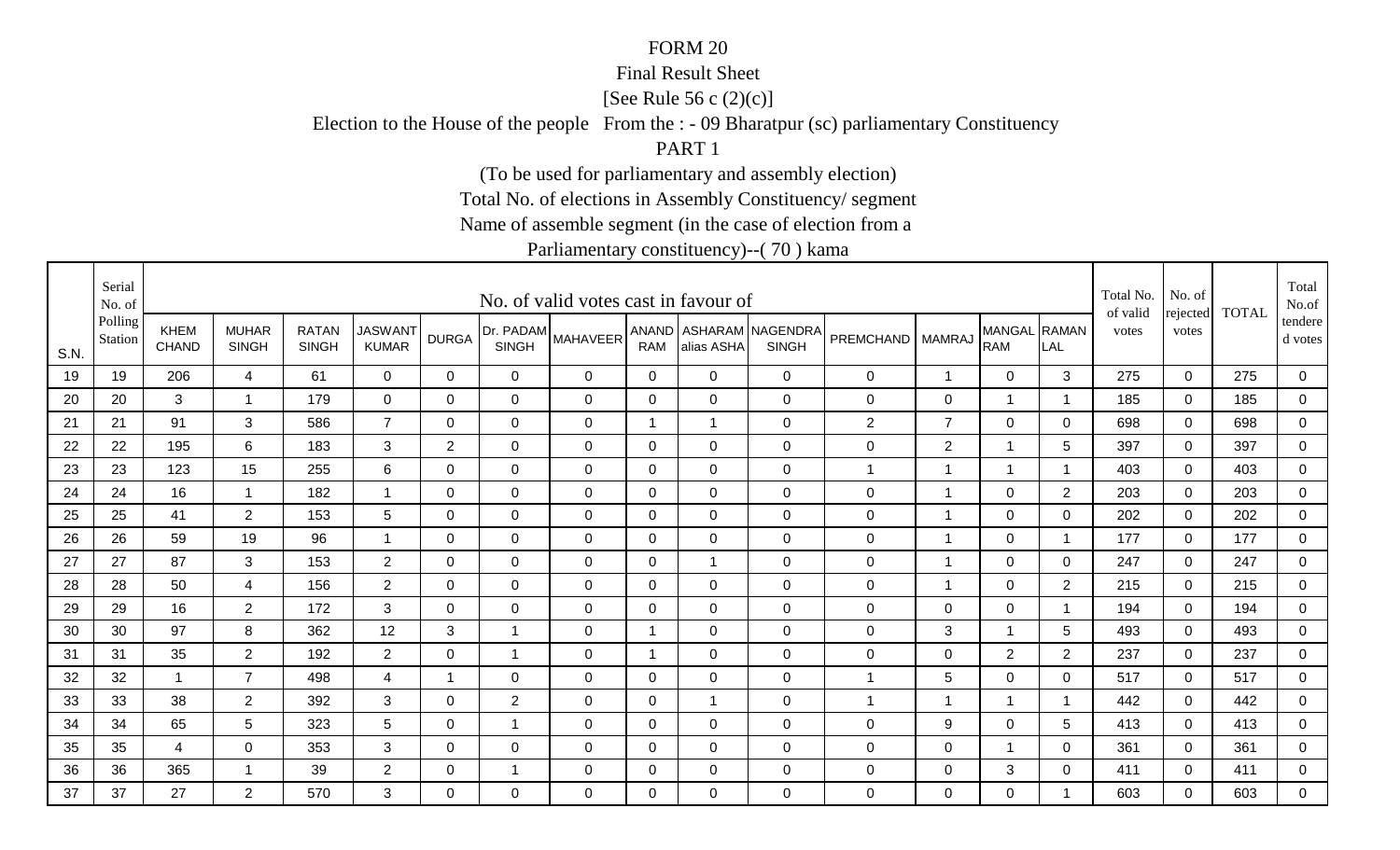#### Final Result Sheet

[See Rule 56 c (2)(c)]

Election to the House of the people From the : - 09 Bharatpur (sc) parliamentary Constituency

PART 1

(To be used for parliamentary and assembly election)

Total No. of elections in Assembly Constituency/ segment

Name of assemble segment (in the case of election from a

|      | Serial<br>No. of   |                      |                              |                              |                                |                |                           | No. of valid votes cast in favour of |                     |                |                                  |                    |                |                            |                | Total No.<br>of valid | No. of            | <b>TOTAL</b> | Total<br>No.of       |
|------|--------------------|----------------------|------------------------------|------------------------------|--------------------------------|----------------|---------------------------|--------------------------------------|---------------------|----------------|----------------------------------|--------------------|----------------|----------------------------|----------------|-----------------------|-------------------|--------------|----------------------|
| S.N. | Polling<br>Station | <b>KHEM</b><br>CHAND | <b>MUHAR</b><br><b>SINGH</b> | <b>RATAN</b><br><b>SINGH</b> | <b>JASWANT</b><br><b>KUMAR</b> | <b>DURGA</b>   | Dr. PADAM<br><b>SINGH</b> | <b>MAHAVEER</b>                      | ANAND<br><b>RAM</b> | alias ASHA     | ASHARAM NAGENDRA<br><b>SINGH</b> | PREMCHAND   MAMRAJ |                | MANGAL RAMAN<br><b>RAM</b> | LAL            | votes                 | rejected<br>votes |              | tendere  <br>d votes |
| 19   | 19                 | 206                  | 4                            | 61                           | $\overline{0}$                 | $\mathbf 0$    | $\overline{0}$            | $\mathbf 0$                          | $\mathbf 0$         | $\overline{0}$ | $\mathbf 0$                      | $\pmb{0}$          | $\overline{1}$ | $\overline{0}$             | 3              | 275                   | $\mathbf 0$       | 275          | $\overline{0}$       |
| 20   | 20                 | 3                    | -1                           | 179                          | $\mathbf 0$                    | $\Omega$       | $\overline{0}$            | $\mathbf 0$                          | 0                   | $\overline{0}$ | $\mathbf 0$                      | $\mathbf 0$        | $\mathbf 0$    | 1                          | -1             | 185                   | $\overline{0}$    | 185          | $\mathbf 0$          |
| 21   | 21                 | 91                   | 3                            | 586                          | $\overline{7}$                 | $\mathbf 0$    | $\mathbf 0$               | $\mathbf 0$                          | $\overline{1}$      | $\mathbf{1}$   | $\mathbf 0$                      | $\overline{2}$     | $\overline{7}$ | $\overline{0}$             | 0              | 698                   | $\mathbf 0$       | 698          | 0                    |
| 22   | 22                 | 195                  | 6                            | 183                          | 3                              | 2              | 0                         | $\mathbf 0$                          | 0                   | $\mathbf 0$    | $\mathbf 0$                      | $\mathbf 0$        | $\overline{2}$ | 1                          | 5              | 397                   | $\Omega$          | 397          | 0                    |
| 23   | 23                 | 123                  | 15                           | 255                          | 6                              | $\Omega$       | $\mathbf 0$               | $\mathbf 0$                          | $\mathbf 0$         | $\overline{0}$ | $\mathbf 0$                      | $\mathbf{1}$       | $\overline{1}$ | $\mathbf{1}$               | $\overline{1}$ | 403                   | $\mathbf 0$       | 403          | $\overline{0}$       |
| 24   | 24                 | 16                   | $\overline{1}$               | 182                          | -1                             | 0              | $\mathbf 0$               | $\mathbf 0$                          | 0                   | $\overline{0}$ | $\mathbf 0$                      | $\pmb{0}$          | 1              | $\mathbf 0$                | $\overline{2}$ | 203                   | $\mathbf 0$       | 203          | 0                    |
| 25   | 25                 | 41                   | $\overline{2}$               | 153                          | 5                              | $\Omega$       | 0                         | $\mathbf 0$                          | 0                   | $\Omega$       | $\mathbf 0$                      | $\mathbf 0$        | -1             | $\mathbf 0$                | 0              | 202                   | $\mathbf{0}$      | 202          | 0                    |
| 26   | 26                 | 59                   | 19                           | 96                           |                                | 0              | $\mathbf 0$               | $\mathbf 0$                          | $\mathbf 0$         | $\overline{0}$ | $\mathbf 0$                      | $\pmb{0}$          | -1             | $\mathbf 0$                |                | 177                   | $\mathbf 0$       | 177          | $\overline{0}$       |
| 27   | 27                 | 87                   | 3                            | 153                          | $\overline{2}$                 | $\Omega$       | $\mathbf 0$               | $\mathbf 0$                          | $\Omega$            | $\mathbf 1$    | $\mathbf 0$                      | $\pmb{0}$          | $\mathbf 1$    | $\mathbf 0$                | $\Omega$       | 247                   | $\mathbf 0$       | 247          | $\mathbf 0$          |
| 28   | 28                 | 50                   | $\overline{4}$               | 156                          | $\overline{2}$                 | $\mathbf 0$    | $\mathbf 0$               | $\mathbf 0$                          | $\mathbf 0$         | $\overline{0}$ | $\mathbf 0$                      | $\pmb{0}$          | $\overline{1}$ | $\mathbf 0$                | $\overline{2}$ | 215                   | $\mathbf 0$       | 215          | $\overline{0}$       |
| 29   | 29                 | 16                   | $\overline{2}$               | 172                          | 3                              | $\Omega$       | $\mathbf 0$               | $\mathbf 0$                          | 0                   | $\overline{0}$ | $\mathbf 0$                      | $\mathbf 0$        | $\overline{0}$ | $\mathbf 0$                |                | 194                   | $\Omega$          | 194          | $\mathbf 0$          |
| 30   | 30                 | 97                   | 8                            | 362                          | 12                             | 3              | $\overline{1}$            | $\mathbf 0$                          | -1                  | $\overline{0}$ | $\mathbf 0$                      | $\mathbf 0$        | 3              | 1                          | 5              | 493                   | $\mathbf 0$       | 493          | 0                    |
| 31   | 31                 | 35                   | $\overline{2}$               | 192                          | $\overline{2}$                 | $\mathbf 0$    | 1                         | $\mathbf 0$                          | -1                  | $\overline{0}$ | $\mathbf 0$                      | $\pmb{0}$          | $\mathbf 0$    | $\overline{2}$             | $\overline{2}$ | 237                   | $\mathbf 0$       | 237          | $\overline{0}$       |
| 32   | 32                 | $\overline{1}$       | $\overline{7}$               | 498                          | 4                              | $\overline{1}$ | $\Omega$                  | $\Omega$                             | $\mathbf{0}$        | $\Omega$       | $\mathbf 0$                      | 1                  | 5              | $\mathbf 0$                | $\Omega$       | 517                   | $\Omega$          | 517          | $\mathbf 0$          |
| 33   | 33                 | 38                   | 2                            | 392                          | 3                              | $\Omega$       | 2                         | $\mathbf 0$                          | $\mathbf{0}$        | $\mathbf 1$    | $\mathbf 0$                      | 1                  | 1              | $\mathbf{1}$               |                | 442                   | $\mathbf 0$       | 442          | $\overline{0}$       |
| 34   | 34                 | 65                   | 5                            | 323                          | 5                              | 0              | $\mathbf 1$               | $\mathbf 0$                          | 0                   | $\mathbf 0$    | $\mathbf 0$                      | 0                  | 9              | $\mathbf 0$                | 5              | 413                   | 0                 | 413          | $\mathbf{0}$         |
| 35   | 35                 | 4                    | $\mathbf 0$                  | 353                          | 3                              | 0              | $\mathbf 0$               | $\mathbf 0$                          | 0                   | $\overline{0}$ | $\mathbf 0$                      | $\mathbf 0$        | $\mathbf 0$    | 1                          | 0              | 361                   | 0                 | 361          | 0                    |
| 36   | 36                 | 365                  | -1                           | 39                           | $\overline{2}$                 | 0              | -1                        | $\mathbf 0$                          | 0                   | $\mathbf 0$    | $\mathbf 0$                      | $\mathbf 0$        | 0              | 3                          | 0              | 411                   | $\mathbf 0$       | 411          | $\overline{0}$       |
| 37   | 37                 | 27                   | $\overline{2}$               | 570                          | 3                              | $\Omega$       | $\mathbf{0}$              | $\Omega$                             | $\Omega$            | $\Omega$       | $\mathbf 0$                      | $\mathbf 0$        | $\mathbf{0}$   | 0                          | -1             | 603                   | $\mathbf{0}$      | 603          | $\mathbf 0$          |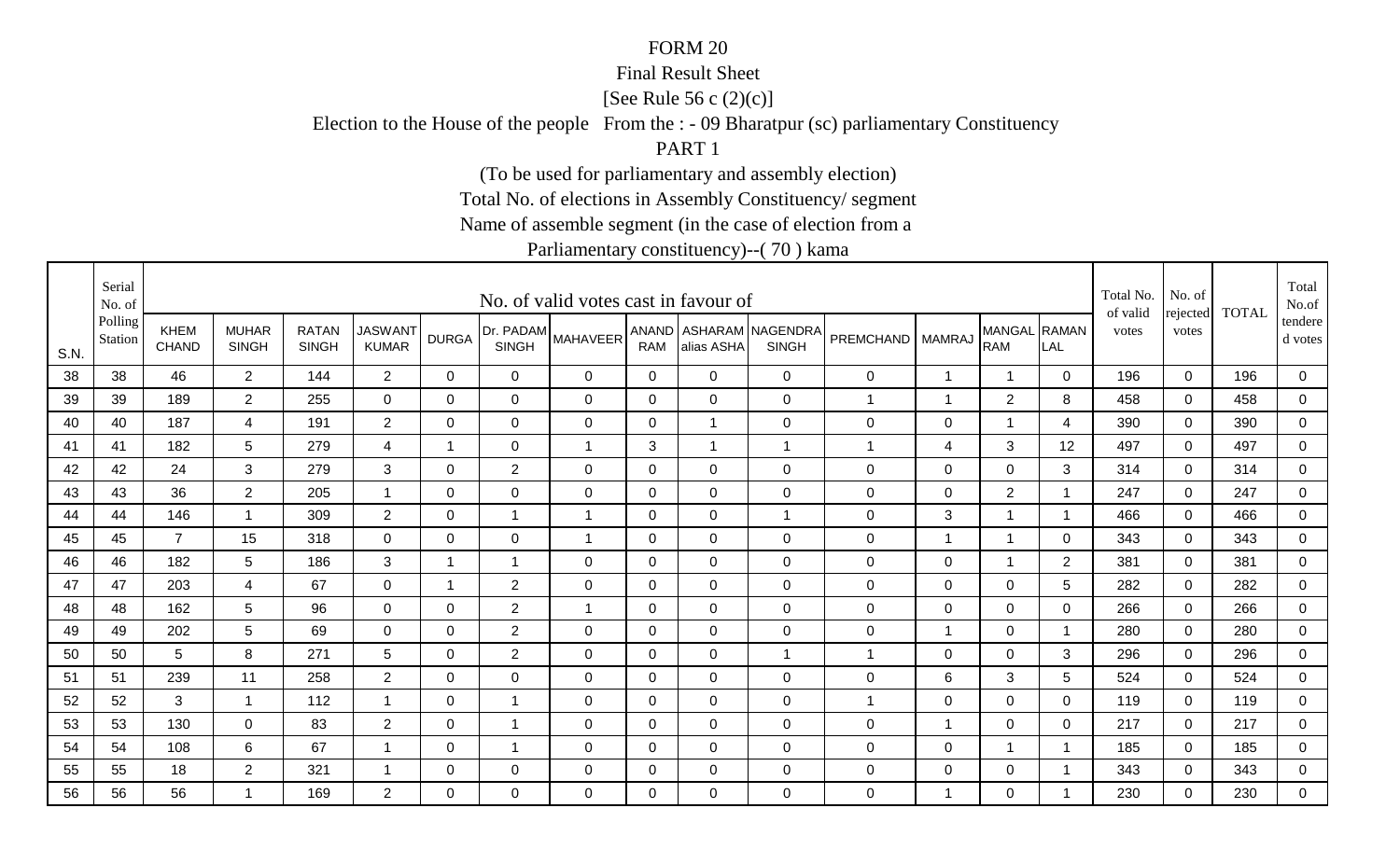#### Final Result Sheet

[See Rule 56 c (2)(c)]

Election to the House of the people From the : - 09 Bharatpur (sc) parliamentary Constituency

PART 1

(To be used for parliamentary and assembly election)

Total No. of elections in Assembly Constituency/ segment

Name of assemble segment (in the case of election from a

|      | Serial<br>No. of   |                             |                              |                              |                                |                |                           | No. of valid votes cast in favour of |                |                |                                        |                    |                         |                            |                          | Total No.<br>of valid | No. of            | <b>TOTAL</b> | Total<br>No.of     |
|------|--------------------|-----------------------------|------------------------------|------------------------------|--------------------------------|----------------|---------------------------|--------------------------------------|----------------|----------------|----------------------------------------|--------------------|-------------------------|----------------------------|--------------------------|-----------------------|-------------------|--------------|--------------------|
| S.N. | Polling<br>Station | <b>KHEM</b><br><b>CHAND</b> | <b>MUHAR</b><br><b>SINGH</b> | <b>RATAN</b><br><b>SINGH</b> | <b>JASWANT</b><br><b>KUMAR</b> | <b>DURGA</b>   | Dr. PADAM<br><b>SINGH</b> | <b>MAHAVEER</b>                      | RAM            | alias ASHA     | ANAND ASHARAM NAGENDRA<br><b>SINGH</b> | PREMCHAND   MAMRAJ |                         | MANGAL RAMAN<br><b>RAM</b> | LAL                      | votes                 | rejected<br>votes |              | tendere<br>d votes |
| 38   | 38                 | 46                          | $2^{\circ}$                  | 144                          | $\overline{2}$                 | $\mathbf 0$    | $\overline{0}$            | $\mathbf 0$                          | $\overline{0}$ | $\overline{0}$ | $\overline{0}$                         | $\mathbf 0$        | $\mathbf 1$             | $\mathbf{1}$               | $\mathbf 0$              | 196                   | $\overline{0}$    | 196          | $\mathbf 0$        |
| 39   | 39                 | 189                         | $\overline{2}$               | 255                          | $\mathbf 0$                    | $\mathbf 0$    | $\mathbf 0$               | $\mathbf 0$                          | $\mathbf 0$    | $\overline{0}$ | $\mathbf 0$                            | 1                  | 1                       | 2                          | 8                        | 458                   | $\mathbf 0$       | 458          | $\overline{0}$     |
| 40   | 40                 | 187                         | $\overline{4}$               | 191                          | $\overline{2}$                 | 0              | $\mathbf 0$               | $\mathbf 0$                          | 0              | $\mathbf{1}$   | $\mathbf 0$                            | $\pmb{0}$          | $\mathbf 0$             | $\mathbf 1$                | 4                        | 390                   | 0                 | 390          | 0                  |
| 41   | 41                 | 182                         | 5                            | 279                          | 4                              |                | 0                         | -1                                   | 3              | $\mathbf 1$    |                                        | 1                  | 4                       | 3                          | 12                       | 497                   | $\mathbf{0}$      | 497          | 0                  |
| 42   | 42                 | 24                          | 3                            | 279                          | 3                              | $\Omega$       | $\overline{2}$            | $\mathbf 0$                          | $\mathbf{0}$   | $\Omega$       | $\mathbf 0$                            | $\mathbf 0$        | 0                       | $\overline{0}$             | 3                        | 314                   | $\Omega$          | 314          | $\mathbf 0$        |
| 43   | 43                 | 36                          | $\overline{2}$               | 205                          | $\overline{\mathbf{A}}$        | 0              | 0                         | $\mathbf 0$                          | 0              | $\mathbf 0$    | $\mathbf 0$                            | 0                  | 0                       | $\overline{2}$             | $\overline{\phantom{a}}$ | 247                   | $\mathbf 0$       | 247          | $\mathbf 0$        |
| 44   | 44                 | 146                         | -1                           | 309                          | $\overline{2}$                 | $\Omega$       | $\mathbf{1}$              | $\overline{1}$                       | 0              | $\overline{0}$ | $\overline{1}$                         | $\pmb{0}$          | 3                       | -1                         | $\overline{\phantom{a}}$ | 466                   | $\overline{0}$    | 466          | 0                  |
| 45   | 45                 | $\overline{7}$              | 15                           | 318                          | $\overline{0}$                 | 0              | $\mathbf 0$               | $\overline{\mathbf{1}}$              | 0              | $\mathbf 0$    | $\mathbf 0$                            | 0                  | -1                      | 1                          | 0                        | 343                   | 0                 | 343          | 0                  |
| 46   | 46                 | 182                         | 5                            | 186                          | 3                              | -1             | 1                         | 0                                    | 0              | $\mathbf 0$    | $\mathbf 0$                            | $\pmb{0}$          | 0                       | 1                          | $\overline{2}$           | 381                   | $\mathbf{0}$      | 381          | 0                  |
| 47   | 47                 | 203                         | 4                            | 67                           | $\mathbf 0$                    | $\overline{1}$ | $\overline{2}$            | $\mathbf 0$                          | $\mathbf 0$    | $\mathbf 0$    | $\mathbf 0$                            | $\pmb{0}$          | $\mathbf 0$             | $\overline{0}$             | 5                        | 282                   | $\Omega$          | 282          | $\overline{0}$     |
| 48   | 48                 | 162                         | 5                            | 96                           | $\overline{0}$                 | 0              | $\overline{2}$            | $\overline{1}$                       | $\mathbf 0$    | $\overline{0}$ | $\mathbf 0$                            | $\pmb{0}$          | $\mathbf 0$             | $\mathbf 0$                | $\mathbf 0$              | 266                   | $\overline{0}$    | 266          | $\overline{0}$     |
| 49   | 49                 | 202                         | 5                            | 69                           | $\mathbf 0$                    | $\mathbf 0$    | $\overline{2}$            | $\mathbf 0$                          | $\mathbf 0$    | $\mathbf 0$    | $\mathbf 0$                            | $\pmb{0}$          | $\overline{\mathbf{1}}$ | $\mathbf 0$                | $\overline{\phantom{a}}$ | 280                   | $\mathbf 0$       | 280          | $\mathbf 0$        |
| 50   | 50                 | 5                           | 8                            | 271                          | 5                              | $\mathbf 0$    | $\overline{2}$            | $\mathbf 0$                          | $\mathbf 0$    | $\overline{0}$ |                                        | 1                  | $\mathbf 0$             | $\overline{0}$             | 3                        | 296                   | $\mathbf 0$       | 296          | $\mathbf 0$        |
| 51   | 51                 | 239                         | 11                           | 258                          | $\overline{2}$                 | $\Omega$       | 0                         | $\Omega$                             | $\Omega$       | $\Omega$       | $\mathbf 0$                            | 0                  | 6                       | 3                          | 5                        | 524                   | $\mathbf{0}$      | 524          | $\mathbf 0$        |
| 52   | 52                 | 3                           | $\overline{1}$               | 112                          | $\overline{\mathbf{A}}$        | $\Omega$       | $\mathbf 1$               | $\mathbf 0$                          | $\mathbf{0}$   | $\Omega$       | $\mathbf 0$                            | 1                  | 0                       | $\overline{0}$             | $\Omega$                 | 119                   | $\mathbf{0}$      | 119          | $\mathbf 0$        |
| 53   | 53                 | 130                         | $\mathbf 0$                  | 83                           | $\overline{2}$                 | 0              | $\mathbf 1$               | $\mathbf 0$                          | $\pmb{0}$      | $\mathbf 0$    | $\mathbf 0$                            | $\mathbf 0$        | -1                      | $\mathbf 0$                | 0                        | 217                   | 0                 | 217          | $\mathbf 0$        |
| 54   | 54                 | 108                         | 6                            | 67                           |                                | 0              | $\mathbf 1$               | $\mathbf 0$                          | 0              | $\overline{0}$ | $\mathbf 0$                            | $\mathbf 0$        | $\mathbf 0$             | 1                          |                          | 185                   | 0                 | 185          | 0                  |
| 55   | 55                 | 18                          | $\overline{2}$               | 321                          |                                | 0              | $\mathbf 0$               | $\mathbf 0$                          | 0              | $\mathbf 0$    | $\mathbf 0$                            | $\pmb{0}$          | $\pmb{0}$               | $\mathbf 0$                |                          | 343                   | $\mathbf 0$       | 343          | $\overline{0}$     |
| 56   | 56                 | 56                          | -1                           | 169                          | $\overline{2}$                 | $\Omega$       | $\mathbf{0}$              | $\Omega$                             | $\Omega$       | $\Omega$       | $\mathbf 0$                            | 0                  | -1                      | $\mathbf 0$                |                          | 230                   | $\Omega$          | 230          | $\mathbf 0$        |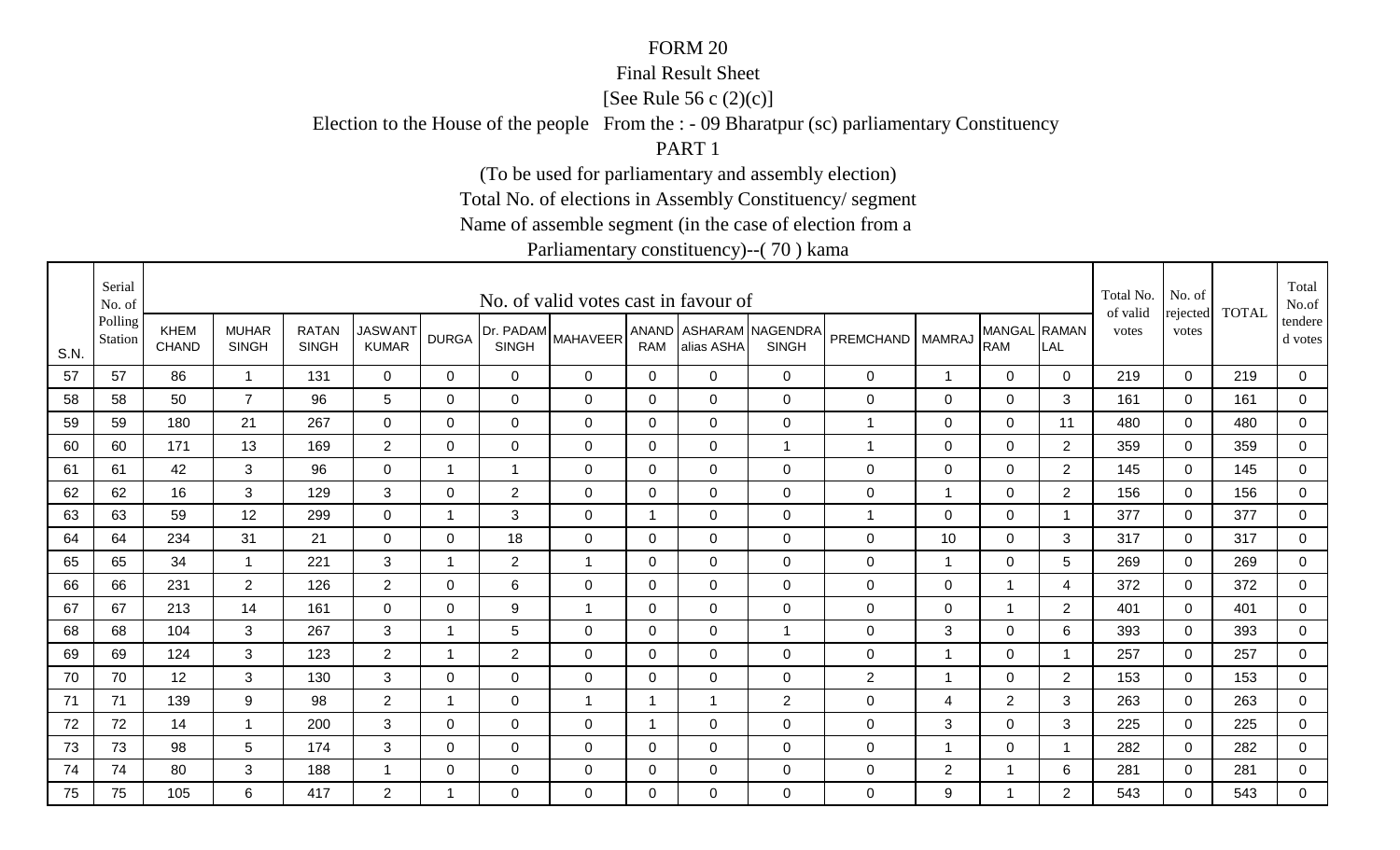#### Final Result Sheet

[See Rule 56 c (2)(c)]

Election to the House of the people From the : - 09 Bharatpur (sc) parliamentary Constituency

PART 1

(To be used for parliamentary and assembly election)

Total No. of elections in Assembly Constituency/ segment

Name of assemble segment (in the case of election from a

|      | Serial<br>No. of   |                             |                              |                              |                                |                         |                           | No. of valid votes cast in favour of |              |                |                                        |                    |                         |                            |                          | Total No.<br>of valid | No. of            | <b>TOTAL</b> | Total<br>No.of     |
|------|--------------------|-----------------------------|------------------------------|------------------------------|--------------------------------|-------------------------|---------------------------|--------------------------------------|--------------|----------------|----------------------------------------|--------------------|-------------------------|----------------------------|--------------------------|-----------------------|-------------------|--------------|--------------------|
| S.N. | Polling<br>Station | <b>KHEM</b><br><b>CHAND</b> | <b>MUHAR</b><br><b>SINGH</b> | <b>RATAN</b><br><b>SINGH</b> | <b>JASWANT</b><br><b>KUMAR</b> | <b>DURGA</b>            | Dr. PADAM<br><b>SINGH</b> | <b>MAHAVEER</b>                      | RAM          | alias ASHA     | ANAND ASHARAM NAGENDRA<br><b>SINGH</b> | PREMCHAND   MAMRAJ |                         | MANGAL RAMAN<br><b>RAM</b> | LAL                      | votes                 | rejected<br>votes |              | tendere<br>d votes |
| 57   | 57                 | 86                          | $\overline{1}$               | 131                          | 0                              | 0                       | $\mathbf 0$               | $\mathbf 0$                          | $\mathbf 0$  | $\mathbf 0$    | $\mathbf 0$                            | 0                  | $\mathbf 1$             | $\mathbf 0$                | 0                        | 219                   | $\mathbf 0$       | 219          | 0                  |
| 58   | 58                 | 50                          | $\overline{7}$               | 96                           | 5                              | $\Omega$                | $\mathbf 0$               | $\mathbf 0$                          | 0            | $\mathbf 0$    | $\mathbf 0$                            | 0                  | $\mathbf 0$             | $\mathbf 0$                | 3                        | 161                   | $\overline{0}$    | 161          | $\overline{0}$     |
| 59   | 59                 | 180                         | 21                           | 267                          | $\mathbf 0$                    | 0                       | $\mathbf 0$               | $\mathbf 0$                          | $\mathbf{0}$ | $\mathbf 0$    | $\mathbf 0$                            | 1                  | 0                       | 0                          | 11                       | 480                   | 0                 | 480          | 0                  |
| 60   | 60                 | 171                         | 13                           | 169                          | $\overline{2}$                 | 0                       | 0                         | $\mathbf 0$                          | 0            | $\mathbf 0$    |                                        | 1                  | $\mathbf 0$             | $\mathbf 0$                | $\overline{2}$           | 359                   | $\mathbf 0$       | 359          | $\overline{0}$     |
| 61   | 61                 | 42                          | 3                            | 96                           | $\mathbf 0$                    | $\overline{\mathbf{1}}$ | $\mathbf{1}$              | $\mathbf 0$                          | $\mathbf 0$  | $\mathbf 0$    | $\mathbf 0$                            | $\pmb{0}$          | $\mathbf 0$             | $\overline{0}$             | $\overline{2}$           | 145                   | $\mathbf 0$       | 145          | $\overline{0}$     |
| 62   | 62                 | 16                          | 3                            | 129                          | 3                              | 0                       | 2                         | $\mathbf 0$                          | 0            | $\mathbf 0$    | $\mathbf 0$                            | $\mathbf 0$        | $\mathbf 1$             | $\mathbf 0$                | $\overline{2}$           | 156                   | 0                 | 156          | $\overline{0}$     |
| 63   | 63                 | 59                          | 12                           | 299                          | $\mathbf 0$                    | -1                      | 3                         | $\mathbf 0$                          | -1           | $\overline{0}$ | $\mathbf 0$                            | 1                  | 0                       | $\mathbf 0$                | $\overline{\phantom{a}}$ | 377                   | $\mathbf 0$       | 377          | 0                  |
| 64   | 64                 | 234                         | 31                           | 21                           | $\mathbf 0$                    | 0                       | 18                        | $\mathbf 0$                          | 0            | $\mathbf 0$    | $\mathbf 0$                            | $\mathbf 0$        | 10                      | $\mathbf 0$                | 3                        | 317                   | $\mathbf 0$       | 317          | 0                  |
| 65   | 65                 | 34                          | -1                           | 221                          | 3                              | 1                       | $\overline{2}$            | $\overline{1}$                       | 0            | $\mathbf 0$    | $\mathbf 0$                            | 0                  | $\overline{\mathbf{1}}$ | $\mathbf 0$                | 5                        | 269                   | $\mathbf{0}$      | 269          | 0                  |
| 66   | 66                 | 231                         | $\overline{2}$               | 126                          | $\overline{2}$                 | 0                       | 6                         | $\mathbf 0$                          | $\mathbf 0$  | $\overline{0}$ | $\mathbf 0$                            | $\mathbf 0$        | $\mathbf 0$             | $\mathbf 1$                | 4                        | 372                   | $\mathbf 0$       | 372          | $\overline{0}$     |
| 67   | 67                 | 213                         | 14                           | 161                          | $\overline{0}$                 | 0                       | 9                         | $\overline{1}$                       | 0            | $\mathbf 0$    | $\mathbf 0$                            | $\mathbf 0$        | 0                       | $\mathbf 1$                | $\overline{2}$           | 401                   | 0                 | 401          | $\overline{0}$     |
| 68   | 68                 | 104                         | 3                            | 267                          | $\mathbf{3}$                   | 1                       | 5                         | $\mathbf 0$                          | 0            | $\overline{0}$ | $\overline{1}$                         | $\mathbf 0$        | 3                       | $\mathbf 0$                | 6                        | 393                   | 0                 | 393          | 0                  |
| 69   | 69                 | 124                         | 3                            | 123                          | $\overline{2}$                 | 1                       | $\overline{2}$            | $\mathbf 0$                          | 0            | $\mathbf 0$    | $\mathbf 0$                            | $\mathbf 0$        | -1                      | $\mathbf 0$                |                          | 257                   | $\mathbf 0$       | 257          | $\overline{0}$     |
| 70   | 70                 | 12                          | 3                            | 130                          | 3                              | 0                       | $\mathbf 0$               | 0                                    | $\mathbf{0}$ | $\mathbf 0$    | $\mathbf 0$                            | $\overline{2}$     | $\overline{1}$          | $\overline{0}$             | $\overline{2}$           | 153                   | $\Omega$          | 153          | 0                  |
| 71   | 71                 | 139                         | 9                            | 98                           | 2                              |                         | $\mathbf 0$               | $\overline{1}$                       | 1            | $\overline{1}$ | 2                                      | $\mathbf 0$        | 4                       | $\overline{2}$             | 3                        | 263                   | $\mathbf 0$       | 263          | $\overline{0}$     |
| 72   | 72                 | 14                          | -1                           | 200                          | 3                              | 0                       | $\mathbf 0$               | $\mathbf 0$                          | -1           | $\mathbf 0$    | $\mathbf 0$                            | $\mathbf 0$        | 3                       | $\overline{0}$             | 3                        | 225                   | 0                 | 225          | $\mathbf 0$        |
| 73   | 73                 | 98                          | 5                            | 174                          | 3                              | 0                       | $\mathbf 0$               | $\mathbf 0$                          | 0            | $\overline{0}$ | $\mathbf 0$                            | $\mathbf 0$        | -1                      | $\mathbf 0$                |                          | 282                   | $\mathbf 0$       | 282          | 0                  |
| 74   | 74                 | 80                          | 3                            | 188                          |                                | 0                       | $\mathbf 0$               | $\mathbf 0$                          | 0            | $\mathbf 0$    | $\mathbf 0$                            | $\mathbf 0$        | $\overline{2}$          | 1                          | 6                        | 281                   | $\mathbf 0$       | 281          | $\overline{0}$     |
| 75   | 75                 | 105                         | 6                            | 417                          | $\overline{2}$                 | -1                      | $\mathbf{0}$              | $\Omega$                             | $\Omega$     | $\Omega$       | $\mathbf 0$                            | $\mathbf 0$        | 9                       | $\overline{\mathbf{1}}$    | $\overline{2}$           | 543                   | $\mathbf{0}$      | 543          | $\mathbf 0$        |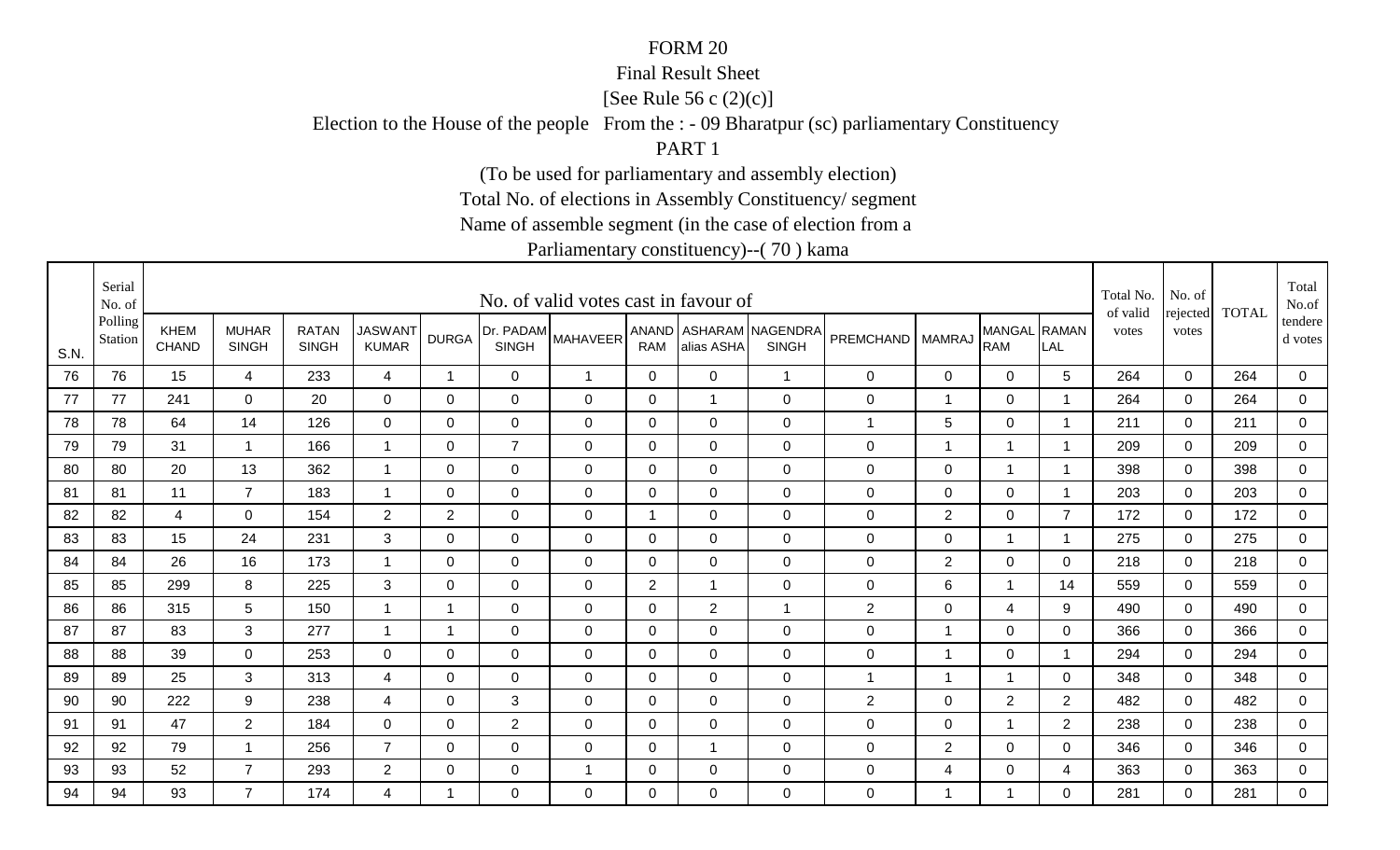#### Final Result Sheet

[See Rule 56 c (2)(c)]

Election to the House of the people From the : - 09 Bharatpur (sc) parliamentary Constituency

PART 1

(To be used for parliamentary and assembly election)

Total No. of elections in Assembly Constituency/ segment

Name of assemble segment (in the case of election from a

|      | Serial<br>No. of   |                             |                              |                              |                                |                |                           | No. of valid votes cast in favour of |                |                |                                        |                    |                 |                            |                          | Total No.<br>of valid | No. of            | <b>TOTAL</b> | Total<br>No.of     |
|------|--------------------|-----------------------------|------------------------------|------------------------------|--------------------------------|----------------|---------------------------|--------------------------------------|----------------|----------------|----------------------------------------|--------------------|-----------------|----------------------------|--------------------------|-----------------------|-------------------|--------------|--------------------|
| S.N. | Polling<br>Station | <b>KHEM</b><br><b>CHAND</b> | <b>MUHAR</b><br><b>SINGH</b> | <b>RATAN</b><br><b>SINGH</b> | <b>JASWANT</b><br><b>KUMAR</b> | <b>DURGA</b>   | Dr. PADAM<br><b>SINGH</b> | <b>MAHAVEER</b>                      | RAM            | alias ASHA     | ANAND ASHARAM NAGENDRA<br><b>SINGH</b> | PREMCHAND   MAMRAJ |                 | MANGAL RAMAN<br><b>RAM</b> | LAL                      | votes                 | rejected<br>votes |              | tendere<br>d votes |
| 76   | 76                 | 15                          | 4                            | 233                          | $\overline{4}$                 | $\overline{1}$ | $\mathbf 0$               | $\overline{1}$                       | $\overline{0}$ | $\overline{0}$ | $\overline{1}$                         | $\mathbf 0$        | $\mathbf 0$     | $\overline{0}$             | 5                        | 264                   | $\mathbf 0$       | 264          | $\mathbf 0$        |
| 77   | 77                 | 241                         | $\mathbf 0$                  | 20                           | $\mathbf 0$                    | $\mathbf 0$    | $\mathbf 0$               | $\mathbf 0$                          | $\mathbf 0$    | $\mathbf{1}$   | $\mathbf 0$                            | $\pmb{0}$          | $\overline{1}$  | $\mathbf 0$                |                          | 264                   | $\mathbf 0$       | 264          | $\overline{0}$     |
| 78   | 78                 | 64                          | 14                           | 126                          | $\overline{0}$                 | 0              | $\mathbf 0$               | $\mathbf 0$                          | 0              | $\mathbf 0$    | $\mathbf 0$                            | 1                  | 5               | 0                          | $\overline{\phantom{a}}$ | 211                   | 0                 | 211          | 0                  |
| 79   | 79                 | 31                          | 1                            | 166                          |                                | 0              | $\overline{7}$            | 0                                    | 0              | $\mathbf 0$    | $\mathbf 0$                            | $\mathbf 0$        | -1              |                            |                          | 209                   | $\mathbf{0}$      | 209          | 0                  |
| 80   | 80                 | 20                          | 13                           | 362                          |                                | $\Omega$       | $\Omega$                  | $\Omega$                             | $\mathbf{0}$   | $\Omega$       | $\mathbf 0$                            | $\mathbf 0$        | 0               | $\overline{1}$             |                          | 398                   | $\Omega$          | 398          | $\mathbf 0$        |
| 81   | 81                 | 11                          | $\overline{7}$               | 183                          | $\overline{1}$                 | 0              | 0                         | $\mathbf 0$                          | 0              | $\mathbf 0$    | $\mathbf 0$                            | 0                  | 0               | $\mathbf 0$                | -1                       | 203                   | $\mathbf 0$       | 203          | $\mathbf 0$        |
| 82   | 82                 | 4                           | 0                            | 154                          | $\overline{2}$                 | $\overline{2}$ | $\mathbf 0$               | $\mathbf 0$                          | -1             | $\overline{0}$ | $\mathbf 0$                            | $\pmb{0}$          | $\overline{2}$  | $\mathbf 0$                | $\overline{7}$           | 172                   | $\overline{0}$    | 172          | 0                  |
| 83   | 83                 | 15                          | 24                           | 231                          | 3                              | 0              | $\mathbf 0$               | $\mathbf 0$                          | 0              | $\mathbf 0$    | $\mathbf 0$                            | 0                  | $\mathbf 0$     | $\mathbf 1$                | $\overline{\phantom{a}}$ | 275                   | 0                 | 275          | $\mathbf 0$        |
| 84   | 84                 | 26                          | 16                           | 173                          |                                | 0              | 0                         | 0                                    | 0              | $\mathbf 0$    | $\mathbf 0$                            | $\mathbf 0$        | $\overline{2}$  | $\mathbf 0$                | 0                        | 218                   | $\mathbf{0}$      | 218          | 0                  |
| 85   | 85                 | 299                         | 8                            | 225                          | 3                              | $\Omega$       | $\overline{0}$            | $\mathbf 0$                          | $\overline{2}$ | $\mathbf 1$    | $\mathbf 0$                            | $\pmb{0}$          | $6\phantom{1}6$ | $\mathbf{1}$               | 14                       | 559                   | $\Omega$          | 559          | $\overline{0}$     |
| 86   | 86                 | 315                         | 5                            | 150                          |                                | 1              | $\mathbf 0$               | $\mathbf 0$                          | $\mathbf 0$    | $\overline{2}$ | $\overline{1}$                         | $\overline{c}$     | $\mathbf 0$     | $\overline{4}$             | 9                        | 490                   | $\mathbf 0$       | 490          | $\overline{0}$     |
| 87   | 87                 | 83                          | 3                            | 277                          |                                | -1             | $\mathbf 0$               | $\mathbf 0$                          | $\mathbf 0$    | $\mathbf 0$    | $\mathbf 0$                            | $\pmb{0}$          | -1              | $\mathbf 0$                | $\Omega$                 | 366                   | $\mathbf 0$       | 366          | $\mathbf 0$        |
| 88   | 88                 | 39                          | $\overline{0}$               | 253                          | $\overline{0}$                 | 0              | $\mathbf 0$               | $\mathbf 0$                          | $\mathbf 0$    | $\overline{0}$ | $\mathbf 0$                            | $\pmb{0}$          | -1              | $\mathbf 0$                |                          | 294                   | $\mathbf 0$       | 294          | $\mathbf 0$        |
| 89   | 89                 | 25                          | 3                            | 313                          | $\overline{4}$                 | $\Omega$       | 0                         | $\Omega$                             | $\Omega$       | $\Omega$       | $\mathbf 0$                            | 1                  | $\overline{1}$  | $\mathbf 1$                | $\Omega$                 | 348                   | $\mathbf{0}$      | 348          | $\mathbf 0$        |
| 90   | 90                 | 222                         | 9                            | 238                          | 4                              | $\Omega$       | 3                         | $\mathbf 0$                          | $\mathbf{0}$   | $\Omega$       | $\mathbf 0$                            | $\mathbf{2}$       | 0               | $\overline{2}$             | $\overline{2}$           | 482                   | $\mathbf{0}$      | 482          | $\mathbf 0$        |
| 91   | 91                 | 47                          | $\overline{2}$               | 184                          | $\mathbf 0$                    | 0              | $\overline{2}$            | $\mathbf 0$                          | $\pmb{0}$      | $\mathbf 0$    | $\mathbf 0$                            | $\mathbf 0$        | $\mathbf 0$     | $\mathbf{1}$               | $\overline{2}$           | 238                   | 0                 | 238          | $\mathbf 0$        |
| 92   | 92                 | 79                          | -1                           | 256                          | $\overline{7}$                 | 0              | $\mathbf 0$               | $\mathbf 0$                          | 0              | 1              | $\mathbf 0$                            | $\mathbf 0$        | $\mathbf 2$     | $\mathbf 0$                | 0                        | 346                   | 0                 | 346          | 0                  |
| 93   | 93                 | 52                          | $\overline{7}$               | 293                          | $\overline{2}$                 | 0              | $\mathbf 0$               | -1                                   | 0              | $\mathbf 0$    | $\mathbf 0$                            | $\pmb{0}$          | 4               | $\mathbf 0$                | 4                        | 363                   | $\mathbf 0$       | 363          | $\overline{0}$     |
| 94   | 94                 | 93                          | $\overline{7}$               | 174                          | 4                              |                | 0                         | $\Omega$                             | $\Omega$       | $\Omega$       | $\mathbf 0$                            | 0                  | -1              | 1                          | $\Omega$                 | 281                   | $\Omega$          | 281          | $\mathbf 0$        |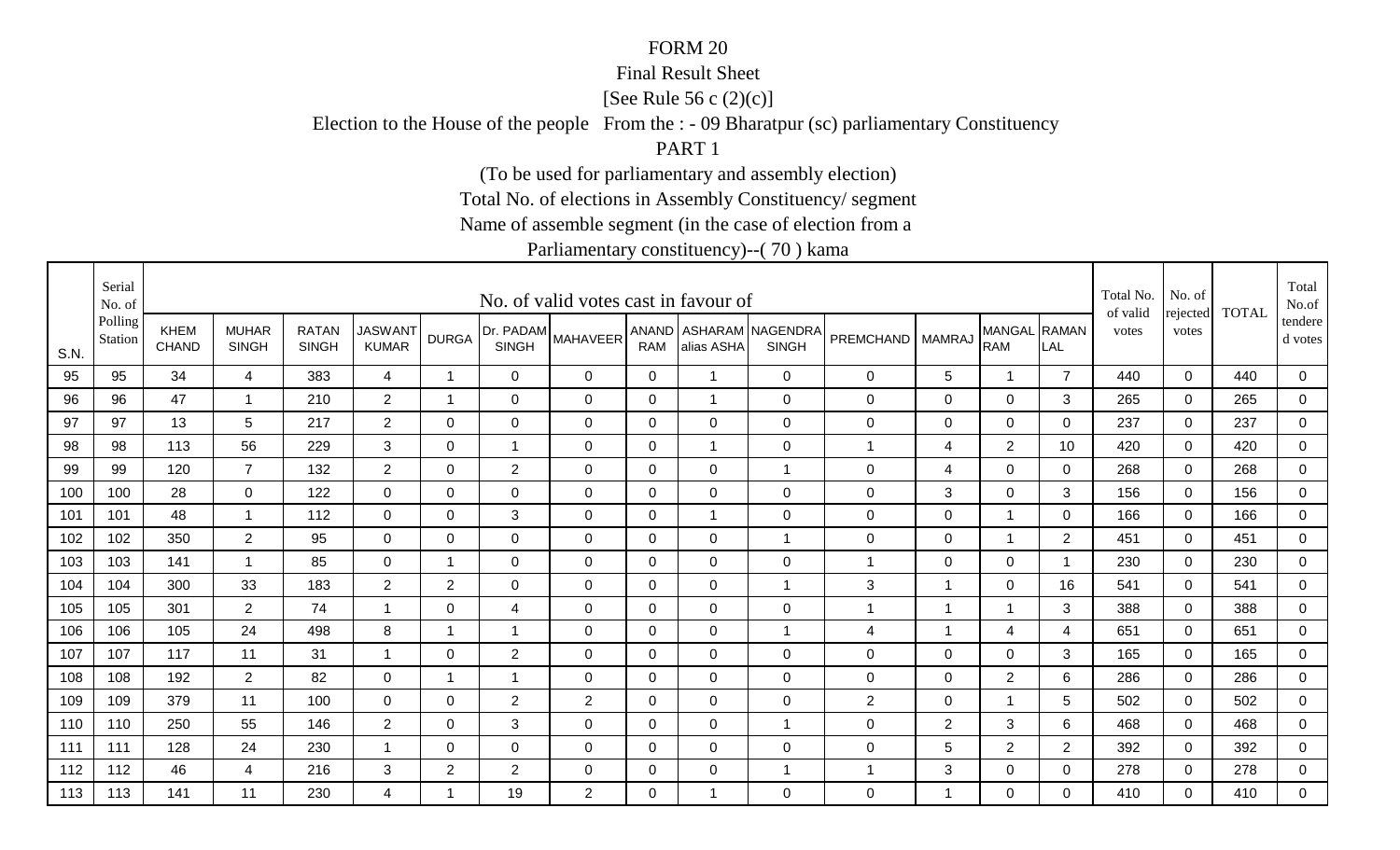#### Final Result Sheet

[See Rule 56 c (2)(c)]

Election to the House of the people From the : - 09 Bharatpur (sc) parliamentary Constituency

PART 1

(To be used for parliamentary and assembly election)

Total No. of elections in Assembly Constituency/ segment

Name of assemble segment (in the case of election from a

|      | Serial<br>No. of   |                             |                              |                              |                                |                |                           | No. of valid votes cast in favour of |              |                |                                        |                    |                |                            |                | Total No.<br>of valid | No. of            | <b>TOTAL</b> | Total<br>No.of     |
|------|--------------------|-----------------------------|------------------------------|------------------------------|--------------------------------|----------------|---------------------------|--------------------------------------|--------------|----------------|----------------------------------------|--------------------|----------------|----------------------------|----------------|-----------------------|-------------------|--------------|--------------------|
| S.N. | Polling<br>Station | <b>KHEM</b><br><b>CHAND</b> | <b>MUHAR</b><br><b>SINGH</b> | <b>RATAN</b><br><b>SINGH</b> | <b>JASWANT</b><br><b>KUMAR</b> | <b>DURGA</b>   | Dr. PADAM<br><b>SINGH</b> | <b>MAHAVEER</b>                      | <b>RAM</b>   | alias ASHA     | ANAND ASHARAM NAGENDRA<br><b>SINGH</b> | PREMCHAND   MAMRAJ |                | MANGAL RAMAN<br><b>RAM</b> | LAL            | votes                 | rejected<br>votes |              | tendere<br>d votes |
| 95   | 95                 | 34                          | 4                            | 383                          | 4                              | $\overline{1}$ | $\mathbf 0$               | $\mathbf 0$                          | $\mathbf 0$  | $\overline{1}$ | $\mathbf 0$                            | 0                  | 5              | $\overline{1}$             | $\overline{7}$ | 440                   | $\mathbf 0$       | 440          | $\mathbf 0$        |
| 96   | 96                 | 47                          | -1                           | 210                          | $\overline{2}$                 | 1              | $\mathbf 0$               | $\mathbf 0$                          | 0            | $\mathbf{1}$   | $\mathbf 0$                            | 0                  | $\mathbf 0$    | $\mathbf 0$                | 3              | 265                   | $\mathbf 0$       | 265          | $\overline{0}$     |
| 97   | 97                 | 13                          | 5                            | 217                          | $\overline{2}$                 | 0              | $\mathbf 0$               | $\mathbf 0$                          | $\mathbf 0$  | $\mathbf 0$    | $\mathbf 0$                            | 0                  | 0              | 0                          | $\overline{0}$ | 237                   | 0                 | 237          | 0                  |
| 98   | 98                 | 113                         | 56                           | 229                          | 3                              | 0              | 1                         | $\mathbf 0$                          | 0            | $\mathbf 1$    | $\mathbf 0$                            | 1                  | 4              | $\overline{2}$             | 10             | 420                   | $\mathbf 0$       | 420          | $\overline{0}$     |
| 99   | 99                 | 120                         | $\overline{7}$               | 132                          | $\overline{2}$                 | 0              | $\overline{2}$            | $\mathbf 0$                          | $\mathbf 0$  | $\mathbf 0$    | $\overline{1}$                         | $\pmb{0}$          | 4              | $\mathbf 0$                | 0              | 268                   | $\mathbf 0$       | 268          | $\overline{0}$     |
| 100  | 100                | 28                          | $\mathbf 0$                  | 122                          | $\overline{0}$                 | 0              | 0                         | $\mathbf 0$                          | 0            | $\mathbf 0$    | $\mathbf 0$                            | $\mathbf 0$        | 3              | $\mathbf 0$                | 3              | 156                   | 0                 | 156          | $\overline{0}$     |
| 101  | 101                | 48                          | -1                           | 112                          | 0                              | $\Omega$       | 3                         | $\mathbf 0$                          | 0            | $\mathbf 1$    | $\mathbf 0$                            | 0                  | 0              | 1                          | 0              | 166                   | $\mathbf{0}$      | 166          | 0                  |
| 102  | 102                | 350                         | $\overline{2}$               | 95                           | $\mathbf 0$                    | 0              | $\mathbf 0$               | $\mathbf 0$                          | 0            | $\mathbf 0$    |                                        | $\mathbf 0$        | $\mathbf 0$    | 1                          | $\overline{2}$ | 451                   | 0                 | 451          | 0                  |
| 103  | 103                | 141                         | -1                           | 85                           | 0                              | 1              | 0                         | 0                                    | 0            | $\mathbf 0$    | $\mathbf 0$                            | 1                  | 0              | 0                          | -1             | 230                   | $\mathbf{0}$      | 230          | 0                  |
| 104  | 104                | 300                         | 33                           | 183                          | $\overline{2}$                 | $\overline{2}$ | $\mathbf 0$               | $\mathbf 0$                          | $\mathbf 0$  | $\overline{0}$ | $\overline{1}$                         | $\mathbf{3}$       | $\overline{1}$ | $\mathbf 0$                | 16             | 541                   | $\mathbf 0$       | 541          | $\overline{0}$     |
| 105  | 105                | 301                         | $\overline{2}$               | 74                           |                                | 0              | 4                         | $\mathbf 0$                          | 0            | $\mathbf 0$    | $\mathbf 0$                            | 1                  | $\overline{1}$ | $\mathbf 1$                | 3              | 388                   | 0                 | 388          | $\mathbf 0$        |
| 106  | 106                | 105                         | 24                           | 498                          | 8                              | 1              | $\overline{1}$            | $\mathbf 0$                          | 0            | $\overline{0}$ | $\overline{1}$                         | 4                  | -1             | 4                          | 4              | 651                   | 0                 | 651          | 0                  |
| 107  | 107                | 117                         | 11                           | 31                           |                                | 0              | 2                         | $\mathbf 0$                          | 0            | $\mathbf 0$    | $\mathbf 0$                            | $\mathbf 0$        | $\mathbf 0$    | $\mathbf 0$                | 3              | 165                   | $\mathbf 0$       | 165          | $\overline{0}$     |
| 108  | 108                | 192                         | $\overline{2}$               | 82                           | 0                              | 1              | $\mathbf 1$               | 0                                    | $\mathbf{0}$ | $\Omega$       | $\mathbf 0$                            | $\mathbf 0$        | 0              | 2                          | 6              | 286                   | 0                 | 286          | 0                  |
| 109  | 109                | 379                         | 11                           | 100                          | $\mathbf 0$                    | $\mathbf 0$    | 2                         | $\overline{2}$                       | $\mathbf 0$  | $\mathbf 0$    | $\mathbf 0$                            | $\overline{2}$     | $\overline{0}$ | $\overline{1}$             | 5              | 502                   | $\mathbf 0$       | 502          | $\overline{0}$     |
| 110  | 110                | 250                         | 55                           | 146                          | $\overline{2}$                 | 0              | 3                         | $\mathbf 0$                          | 0            | $\mathbf 0$    | $\overline{1}$                         | $\mathbf 0$        | $\overline{2}$ | 3                          | 6              | 468                   | $\mathbf{0}$      | 468          | 0                  |
| 111  | 111                | 128                         | 24                           | 230                          |                                | 0              | $\mathbf 0$               | $\mathbf 0$                          | 0            | $\overline{0}$ | $\mathbf 0$                            | $\mathbf 0$        | 5              | $\overline{2}$             | $\overline{2}$ | 392                   | $\mathbf 0$       | 392          | 0                  |
| 112  | 112                | 46                          | 4                            | 216                          | 3                              | $\overline{2}$ | $\overline{2}$            | $\mathbf 0$                          | 0            | $\mathbf 0$    |                                        | 1                  | 3              | $\mathbf 0$                | 0              | 278                   | $\mathbf 0$       | 278          | $\overline{0}$     |
| 113  | 113                | 141                         | 11                           | 230                          | 4                              | -1             | 19                        | 2                                    | $\Omega$     | 1              | $\mathbf 0$                            | $\mathbf 0$        | $\overline{1}$ | $\Omega$                   | $\Omega$       | 410                   | $\Omega$          | 410          | $\overline{0}$     |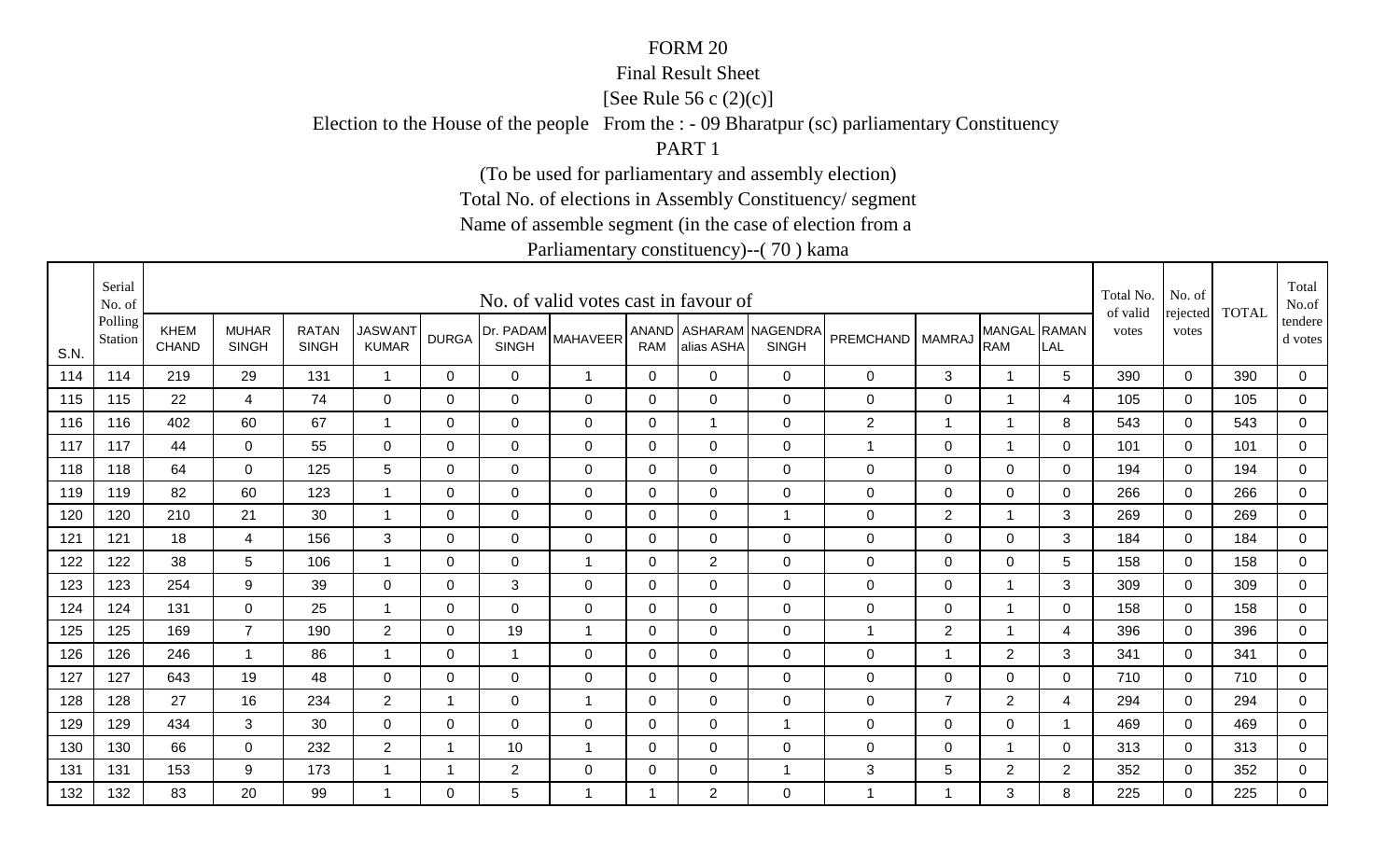#### Final Result Sheet

[See Rule 56 c (2)(c)]

Election to the House of the people From the : - 09 Bharatpur (sc) parliamentary Constituency

PART 1

(To be used for parliamentary and assembly election)

Total No. of elections in Assembly Constituency/ segment

Name of assemble segment (in the case of election from a

|      | Serial<br>No. of   |                      |                              |                              |                                |              |                           | No. of valid votes cast in favour of |                     |                |                                  |                    |                |                            |                | Total No.<br>of valid | No. of            | <b>TOTAL</b> | Total<br>No.of       |
|------|--------------------|----------------------|------------------------------|------------------------------|--------------------------------|--------------|---------------------------|--------------------------------------|---------------------|----------------|----------------------------------|--------------------|----------------|----------------------------|----------------|-----------------------|-------------------|--------------|----------------------|
| S.N. | Polling<br>Station | <b>KHEM</b><br>CHAND | <b>MUHAR</b><br><b>SINGH</b> | <b>RATAN</b><br><b>SINGH</b> | <b>JASWANT</b><br><b>KUMAR</b> | <b>DURGA</b> | Dr. PADAM<br><b>SINGH</b> | <b>MAHAVEER</b>                      | ANAND<br><b>RAM</b> | alias ASHA     | ASHARAM NAGENDRA<br><b>SINGH</b> | PREMCHAND   MAMRAJ |                | MANGAL RAMAN<br><b>RAM</b> | LAL            | votes                 | rejected<br>votes |              | tendere  <br>d votes |
| 114  | 114                | 219                  | 29                           | 131                          |                                | $\mathbf 0$  | $\overline{0}$            | $\overline{1}$                       | $\mathbf 0$         | $\mathbf 0$    | $\mathbf 0$                      | 0                  | 3              | $\mathbf 1$                | 5              | 390                   | $\mathbf 0$       | 390          | 0                    |
| 115  | 115                | 22                   | 4                            | 74                           | $\mathbf 0$                    | $\Omega$     | $\overline{0}$            | $\mathbf 0$                          | 0                   | $\overline{0}$ | $\mathbf 0$                      | $\mathbf 0$        | $\overline{0}$ | -1                         | 4              | 105                   | $\Omega$          | 105          | $\overline{0}$       |
| 116  | 116                | 402                  | 60                           | 67                           |                                | 0            | $\mathbf 0$               | $\mathbf 0$                          | 0                   | $\mathbf{1}$   | $\mathbf 0$                      | $\mathbf{2}$       | -1             | $\mathbf 1$                | 8              | 543                   | $\mathbf 0$       | 543          | $\overline{0}$       |
| 117  | 117                | 44                   | $\overline{0}$               | 55                           | 0                              | 0            | 0                         | $\mathbf 0$                          | 0                   | $\mathbf 0$    | $\mathbf 0$                      | 1                  | 0              | 1                          | 0              | 101                   | $\Omega$          | 101          | 0                    |
| 118  | 118                | 64                   | $\mathbf 0$                  | 125                          | $5\phantom{.0}$                | 0            | $\mathbf 0$               | $\mathbf 0$                          | $\mathbf 0$         | $\overline{0}$ | $\mathbf 0$                      | $\pmb{0}$          | $\mathbf 0$    | $\mathbf 0$                | 0              | 194                   | $\mathbf 0$       | 194          | $\overline{0}$       |
| 119  | 119                | 82                   | 60                           | 123                          |                                | 0            | $\mathbf 0$               | $\mathbf 0$                          | 0                   | $\mathbf 0$    | $\mathbf 0$                      | $\pmb{0}$          | $\overline{0}$ | $\mathbf 0$                | 0              | 266                   | $\mathbf 0$       | 266          | 0                    |
| 120  | 120                | 210                  | 21                           | 30                           | -1                             | $\Omega$     | 0                         | $\mathbf 0$                          | 0                   | $\Omega$       | $\overline{1}$                   | $\mathbf 0$        | $\overline{2}$ | $\overline{\mathbf{1}}$    | 3              | 269                   | $\mathbf{0}$      | 269          | 0                    |
| 121  | 121                | 18                   | 4                            | 156                          | 3                              | 0            | $\mathbf 0$               | $\mathbf 0$                          | $\mathbf 0$         | $\overline{0}$ | $\mathbf 0$                      | $\pmb{0}$          | $\mathbf 0$    | $\overline{0}$             | 3              | 184                   | $\mathbf 0$       | 184          | $\overline{0}$       |
| 122  | 122                | 38                   | 5                            | 106                          |                                | $\Omega$     | $\mathbf 0$               | $\overline{1}$                       | $\Omega$            | $\overline{2}$ | $\mathbf 0$                      | $\mathbf 0$        | $\mathbf 0$    | $\mathbf 0$                | 5              | 158                   | $\Omega$          | 158          | 0                    |
| 123  | 123                | 254                  | 9                            | 39                           | $\mathbf 0$                    | $\mathbf 0$  | 3                         | $\mathbf 0$                          | $\mathbf 0$         | $\mathbf 0$    | $\mathbf 0$                      | $\pmb{0}$          | $\mathbf 0$    | $\overline{1}$             | 3              | 309                   | $\mathbf 0$       | 309          | $\overline{0}$       |
| 124  | 124                | 131                  | $\mathbf 0$                  | 25                           |                                | $\Omega$     | $\mathbf 0$               | $\mathbf 0$                          | 0                   | $\overline{0}$ | $\mathbf 0$                      | $\pmb{0}$          | $\mathbf 0$    | $\overline{1}$             | 0              | 158                   | $\Omega$          | 158          | 0                    |
| 125  | 125                | 169                  | $\overline{7}$               | 190                          | $\overline{2}$                 | $\Omega$     | 19                        | $\overline{1}$                       | 0                   | $\overline{0}$ | $\mathbf 0$                      | 1                  | $\overline{2}$ | 1                          | 4              | 396                   | $\overline{0}$    | 396          | 0                    |
| 126  | 126                | 246                  | $\overline{1}$               | 86                           | $\overline{ }$                 | $\mathbf 0$  | 1                         | $\mathbf 0$                          | $\mathbf 0$         | $\overline{0}$ | $\mathbf 0$                      | $\pmb{0}$          | -1             | $\overline{2}$             | 3              | 341                   | $\mathbf 0$       | 341          | $\overline{0}$       |
| 127  | 127                | 643                  | 19                           | 48                           | $\Omega$                       | $\Omega$     | $\mathbf{0}$              | $\Omega$                             | $\mathbf{0}$        | $\Omega$       | $\mathbf 0$                      | $\mathbf 0$        | $\Omega$       | $\mathbf 0$                | $\Omega$       | 710                   | $\Omega$          | 710          | $\mathbf 0$          |
| 128  | 128                | 27                   | 16                           | 234                          | 2                              | 1            | 0                         | $\overline{1}$                       | $\Omega$            | $\Omega$       | $\mathbf 0$                      | 0                  | $\overline{7}$ | 2                          | 4              | 294                   | $\mathbf 0$       | 294          | $\overline{0}$       |
| 129  | 129                | 434                  | 3                            | 30                           | 0                              | 0            | 0                         | $\mathbf 0$                          | 0                   | $\mathbf 0$    | $\overline{1}$                   | $\mathbf 0$        | 0              | $\mathbf 0$                | - 1            | 469                   | 0                 | 469          | 0                    |
| 130  | 130                | 66                   | $\mathbf 0$                  | 232                          | $\overline{2}$                 | -1           | 10                        | -1                                   | 0                   | $\mathbf 0$    | $\mathbf 0$                      | $\mathbf 0$        | $\mathbf 0$    | 1                          | $\mathbf 0$    | 313                   | 0                 | 313          | 0                    |
| 131  | 131                | 153                  | 9                            | 173                          |                                | 1            | $\overline{2}$            | $\mathbf 0$                          | 0                   | $\mathbf 0$    |                                  | 3                  | 5              | $\overline{2}$             | $\overline{2}$ | 352                   | $\Omega$          | 352          | $\overline{0}$       |
| 132  | 132                | 83                   | 20                           | 99                           |                                | $\Omega$     | 5                         | -1                                   | -1                  | $\overline{2}$ | 0                                | 1                  | -1             | 3                          | 8              | 225                   | $\Omega$          | 225          | $\overline{0}$       |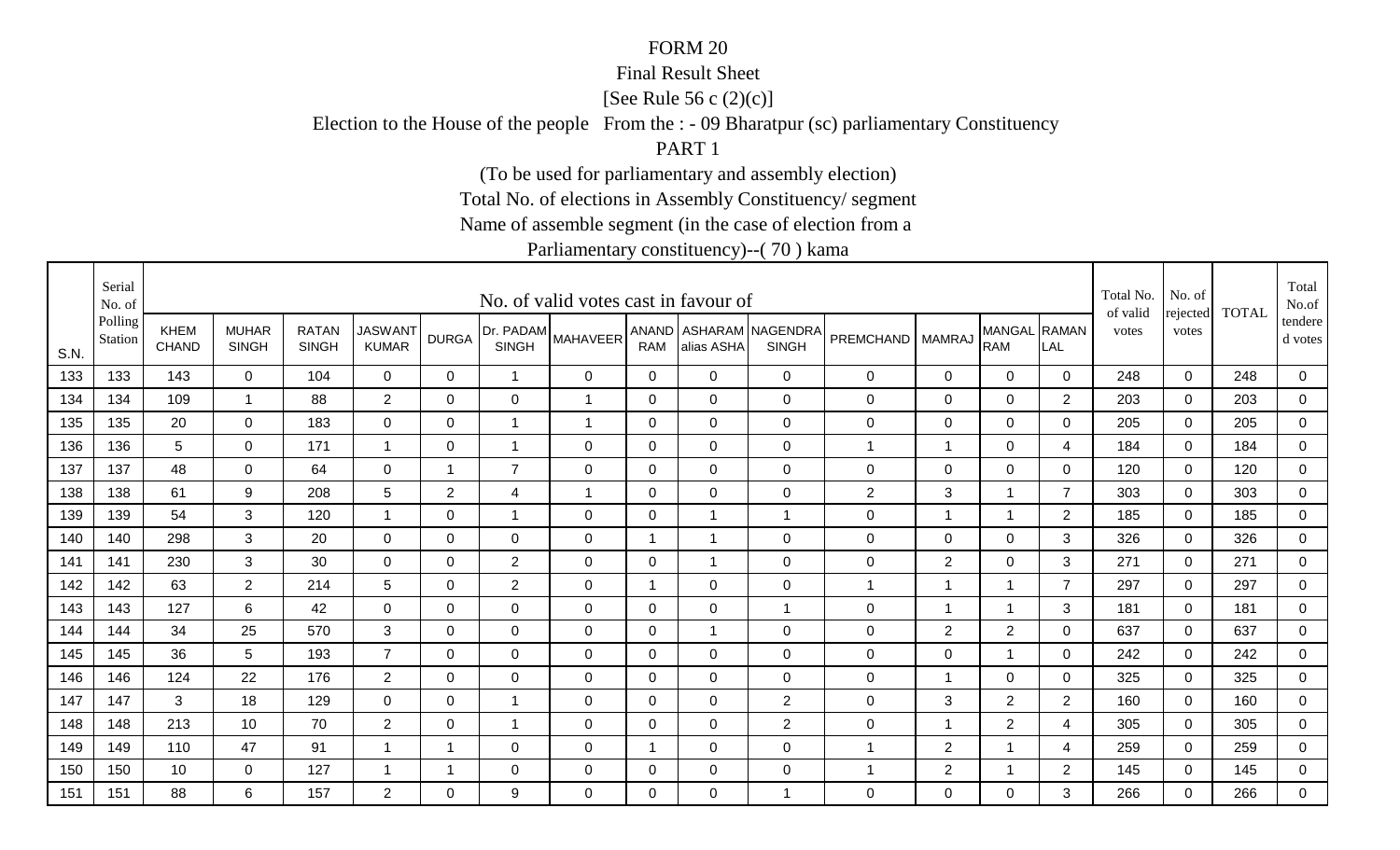#### Final Result Sheet

[See Rule 56 c (2)(c)]

Election to the House of the people From the : - 09 Bharatpur (sc) parliamentary Constituency

PART 1

(To be used for parliamentary and assembly election)

Total No. of elections in Assembly Constituency/ segment

Name of assemble segment (in the case of election from a

|      | Serial<br>No. of   |                      |                              |                              |                                |                         |                           | No. of valid votes cast in favour of |                     |                |                                  |                    |                         |                            |                | Total No.<br>of valid | No. of<br>rejected | <b>TOTAL</b> | Total<br>No.of       |
|------|--------------------|----------------------|------------------------------|------------------------------|--------------------------------|-------------------------|---------------------------|--------------------------------------|---------------------|----------------|----------------------------------|--------------------|-------------------------|----------------------------|----------------|-----------------------|--------------------|--------------|----------------------|
| S.N. | Polling<br>Station | <b>KHEM</b><br>CHAND | <b>MUHAR</b><br><b>SINGH</b> | <b>RATAN</b><br><b>SINGH</b> | <b>JASWANT</b><br><b>KUMAR</b> | <b>DURGA</b>            | Dr. PADAM<br><b>SINGH</b> | <b>MAHAVEER</b>                      | ANAND<br><b>RAM</b> | alias ASHA     | ASHARAM NAGENDRA<br><b>SINGH</b> | PREMCHAND   MAMRAJ |                         | MANGAL RAMAN<br><b>RAM</b> | LAL            | votes                 | votes              |              | tendere  <br>d votes |
| 133  | 133                | 143                  | $\mathbf 0$                  | 104                          | $\overline{0}$                 | $\mathbf 0$             | $\mathbf 1$               | $\mathbf 0$                          | $\mathbf 0$         | $\mathbf 0$    | $\mathbf 0$                      | 0                  | $\mathbf 0$             | $\overline{0}$             | $\mathbf 0$    | 248                   | $\mathbf 0$        | 248          | 0                    |
| 134  | 134                | 109                  | -1                           | 88                           | $\overline{2}$                 | $\Omega$                | $\mathbf 0$               | $\overline{1}$                       | 0                   | $\overline{0}$ | $\mathbf 0$                      | $\pmb{0}$          | $\mathbf 0$             | $\mathbf 0$                | $\overline{2}$ | 203                   | $\overline{0}$     | 203          | $\overline{0}$       |
| 135  | 135                | 20                   | $\overline{0}$               | 183                          | $\overline{0}$                 | $\mathbf 0$             | $\mathbf 1$               | $\overline{1}$                       | 0                   | $\overline{0}$ | $\mathbf 0$                      | $\mathbf 0$        | $\mathbf 0$             | $\overline{0}$             | 0              | 205                   | $\mathbf 0$        | 205          | $\overline{0}$       |
| 136  | 136                | 5                    | 0                            | 171                          | $\overline{\mathbf{1}}$        | 0                       | $\mathbf 1$               | 0                                    | 0                   | $\mathbf 0$    | $\mathbf 0$                      | 1                  | -1                      | $\mathbf 0$                | 4              | 184                   | $\Omega$           | 184          | 0                    |
| 137  | 137                | 48                   | $\mathbf 0$                  | 64                           | $\mathbf 0$                    | $\overline{\mathbf{1}}$ | $\overline{7}$            | $\mathbf 0$                          | $\mathbf 0$         | $\overline{0}$ | $\mathbf 0$                      | $\pmb{0}$          | $\mathbf 0$             | $\mathbf 0$                | 0              | 120                   | $\mathbf 0$        | 120          | $\overline{0}$       |
| 138  | 138                | 61                   | 9                            | 208                          | 5                              | $\overline{2}$          | 4                         | $\overline{1}$                       | 0                   | $\mathbf 0$    | $\mathbf 0$                      | $\overline{c}$     | 3                       | $\mathbf{1}$               | $\overline{7}$ | 303                   | $\mathbf 0$        | 303          | 0                    |
| 139  | 139                | 54                   | 3                            | 120                          | $\overline{\mathbf{1}}$        | $\Omega$                | $\mathbf 1$               | 0                                    | 0                   | $\mathbf{1}$   | $\overline{1}$                   | $\mathbf 0$        | -1                      | $\overline{1}$             | $\overline{2}$ | 185                   | $\Omega$           | 185          | 0                    |
| 140  | 140                | 298                  | 3                            | 20                           | $\overline{0}$                 | 0                       | $\mathbf 0$               | $\mathbf 0$                          | -1                  | $\mathbf 1$    | $\mathbf 0$                      | $\pmb{0}$          | $\mathbf 0$             | $\mathbf 0$                | 3              | 326                   | $\mathbf 0$        | 326          | 0                    |
| 141  | 141                | 230                  | 3                            | 30                           | $\mathbf 0$                    | $\Omega$                | $\overline{2}$            | $\mathbf 0$                          | $\Omega$            | 1              | $\mathbf 0$                      | $\pmb{0}$          | $\overline{2}$          | $\mathbf 0$                | 3              | 271                   | $\mathbf 0$        | 271          | 0                    |
| 142  | 142                | 63                   | $\overline{2}$               | 214                          | $5\phantom{.0}$                | $\mathbf 0$             | $\overline{2}$            | $\mathbf 0$                          | $\overline{1}$      | $\overline{0}$ | $\mathbf 0$                      | 1                  | $\overline{\mathbf{A}}$ | $\overline{1}$             | $\overline{7}$ | 297                   | $\mathbf 0$        | 297          | $\overline{0}$       |
| 143  | 143                | 127                  | 6                            | 42                           | $\mathbf 0$                    | $\Omega$                | $\mathbf 0$               | $\mathbf 0$                          | 0                   | $\overline{0}$ | $\overline{1}$                   | $\mathbf 0$        | $\overline{1}$          | $\overline{1}$             | 3              | 181                   | $\Omega$           | 181          | 0                    |
| 144  | 144                | 34                   | 25                           | 570                          | 3                              | $\Omega$                | $\mathbf 0$               | $\mathbf 0$                          | 0                   | $\overline{1}$ | $\mathbf 0$                      | $\mathbf 0$        | $\overline{2}$          | $\overline{2}$             | 0              | 637                   | $\mathbf 0$        | 637          | 0                    |
| 145  | 145                | 36                   | 5                            | 193                          | $\overline{7}$                 | 0                       | $\mathbf 0$               | $\mathbf 0$                          | $\mathbf 0$         | $\overline{0}$ | $\mathbf 0$                      | $\pmb{0}$          | $\mathbf 0$             | $\mathbf 1$                | $\mathbf 0$    | 242                   | $\mathbf 0$        | 242          | $\overline{0}$       |
| 146  | 146                | 124                  | 22                           | 176                          | $\overline{2}$                 | $\Omega$                | $\mathbf{0}$              | $\Omega$                             | $\mathbf{0}$        | $\Omega$       | $\mathbf 0$                      | $\mathbf 0$        | $\overline{1}$          | 0                          | $\Omega$       | 325                   | $\Omega$           | 325          | 0                    |
| 147  | 147                | 3                    | 18                           | 129                          | $\overline{0}$                 | $\Omega$                | $\mathbf{1}$              | $\mathbf 0$                          | $\mathbf{0}$        | $\Omega$       | 2                                | $\mathbf 0$        | 3                       | 2                          | $\overline{2}$ | 160                   | $\mathbf 0$        | 160          | $\overline{0}$       |
| 148  | 148                | 213                  | 10                           | 70                           | $\overline{2}$                 | 0                       | $\mathbf 1$               | $\mathbf 0$                          | 0                   | $\mathbf 0$    | $\overline{2}$                   | 0                  | $\overline{1}$          | $\overline{2}$             | 4              | 305                   | 0                  | 305          | 0                    |
| 149  | 149                | 110                  | 47                           | 91                           |                                |                         | $\mathbf 0$               | $\mathbf 0$                          | -1                  | $\mathbf 0$    | $\mathbf 0$                      | 1                  | $\overline{2}$          | 1                          | 4              | 259                   | 0                  | 259          | 0                    |
| 150  | 150                | 10                   | 0                            | 127                          |                                | -1                      | 0                         | $\mathbf 0$                          | 0                   | $\mathbf 0$    | 0                                | 1                  | $\overline{2}$          | 1                          | $\overline{2}$ | 145                   | $\mathbf 0$        | 145          | $\overline{0}$       |
| 151  | 151                | 88                   | 6                            | 157                          | $\overline{2}$                 | $\Omega$                | 9                         | $\Omega$                             | $\Omega$            | $\Omega$       | $\overline{1}$                   | 0                  | $\mathbf{0}$            | 0                          | 3              | 266                   | $\Omega$           | 266          | $\overline{0}$       |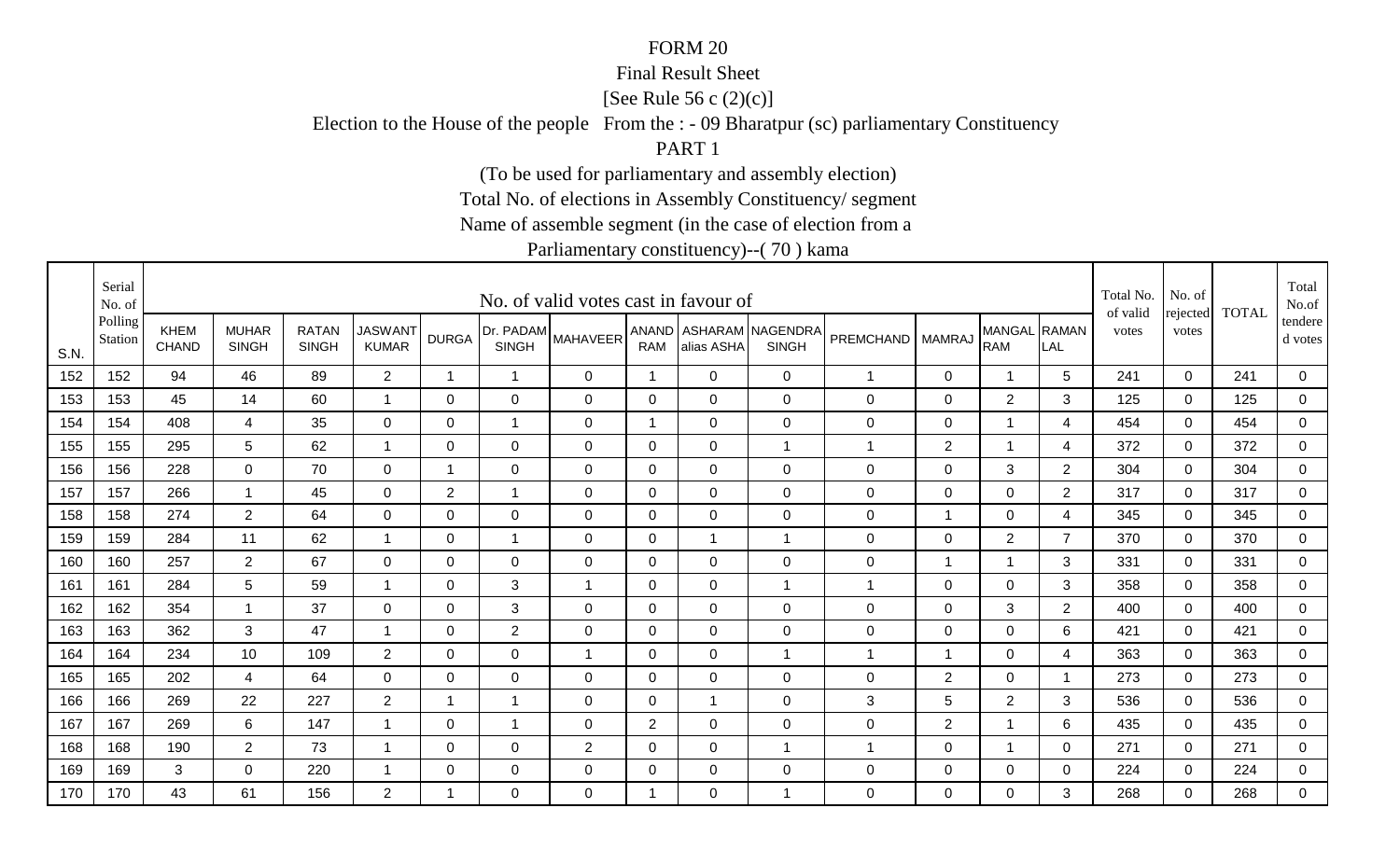#### Final Result Sheet

[See Rule 56 c (2)(c)]

Election to the House of the people From the : - 09 Bharatpur (sc) parliamentary Constituency

PART 1

(To be used for parliamentary and assembly election)

Total No. of elections in Assembly Constituency/ segment

Name of assemble segment (in the case of election from a

|      | Serial<br>No. of   |                      |                              |                              |                                |                |                           | No. of valid votes cast in favour of |                         |                |                                  |                    |                  |                            |                | Total No.<br>of valid | No. of<br>rejected | <b>TOTAL</b> | Total<br>No.of       |
|------|--------------------|----------------------|------------------------------|------------------------------|--------------------------------|----------------|---------------------------|--------------------------------------|-------------------------|----------------|----------------------------------|--------------------|------------------|----------------------------|----------------|-----------------------|--------------------|--------------|----------------------|
| S.N. | Polling<br>Station | <b>KHEM</b><br>CHAND | <b>MUHAR</b><br><b>SINGH</b> | <b>RATAN</b><br><b>SINGH</b> | <b>JASWANT</b><br><b>KUMAR</b> | <b>DURGA</b>   | Dr. PADAM<br><b>SINGH</b> | <b>MAHAVEER</b>                      | ANAND<br><b>RAM</b>     | alias ASHA     | ASHARAM NAGENDRA<br><b>SINGH</b> | PREMCHAND   MAMRAJ |                  | MANGAL RAMAN<br><b>RAM</b> | LAL            | votes                 | votes              |              | tendere  <br>d votes |
| 152  | 152                | 94                   | 46                           | 89                           | $\overline{2}$                 | 1              | $\mathbf 1$               | $\mathbf 0$                          | $\overline{1}$          | $\overline{0}$ | $\mathbf 0$                      | 1                  | $\mathbf 0$      | $\mathbf 1$                | 5              | 241                   | $\mathbf 0$        | 241          | 0                    |
| 153  | 153                | 45                   | 14                           | 60                           |                                | $\Omega$       | $\mathbf 0$               | $\mathbf 0$                          | 0                       | $\overline{0}$ | $\mathbf 0$                      | $\mathbf 0$        | $\mathbf 0$      | 2                          | 3              | 125                   | $\Omega$           | 125          | $\overline{0}$       |
| 154  | 154                | 408                  | $\overline{4}$               | 35                           | $\overline{0}$                 | $\mathbf 0$    | $\mathbf 1$               | $\mathbf 0$                          | $\overline{\mathbf{1}}$ | $\overline{0}$ | $\mathbf 0$                      | $\mathbf 0$        | $\mathbf 0$      | 1                          | 4              | 454                   | $\mathbf 0$        | 454          | $\mathbf 0$          |
| 155  | 155                | 295                  | 5                            | 62                           | $\overline{\mathbf{1}}$        | 0              | 0                         | $\mathbf 0$                          | 0                       | $\mathbf 0$    | $\mathbf 1$                      | 1                  | $\overline{2}$   | 1                          | 4              | 372                   | $\Omega$           | 372          | 0                    |
| 156  | 156                | 228                  | $\mathbf 0$                  | 70                           | $\mathbf 0$                    | 1              | $\mathbf 0$               | $\mathbf 0$                          | $\mathbf 0$             | $\overline{0}$ | $\mathbf 0$                      | $\pmb{0}$          | $\mathbf 0$      | $\mathbf{3}$               | $\overline{2}$ | 304                   | $\mathbf 0$        | 304          | $\overline{0}$       |
| 157  | 157                | 266                  | $\overline{1}$               | 45                           | $\mathbf 0$                    | $\overline{2}$ | $\mathbf 1$               | $\mathbf 0$                          | 0                       | $\mathbf 0$    | $\mathbf 0$                      | $\pmb{0}$          | $\overline{0}$   | $\mathbf 0$                | $\overline{2}$ | 317                   | 0                  | 317          | 0                    |
| 158  | 158                | 274                  | $\overline{2}$               | 64                           | $\Omega$                       | $\Omega$       | 0                         | $\mathbf 0$                          | 0                       | $\Omega$       | $\mathbf 0$                      | $\mathbf 0$        | -1               | $\mathbf 0$                | 4              | 345                   | $\mathbf{0}$       | 345          | 0                    |
| 159  | 159                | 284                  | 11                           | 62                           |                                | 0              | $\mathbf 1$               | $\mathbf 0$                          | $\mathbf 0$             | $\mathbf 1$    |                                  | $\pmb{0}$          | $\mathbf 0$      | $\overline{2}$             | $\overline{7}$ | 370                   | $\mathbf 0$        | 370          | $\mathbf 0$          |
| 160  | 160                | 257                  | $\overline{2}$               | 67                           | $\mathbf 0$                    | $\Omega$       | $\mathbf 0$               | $\mathbf 0$                          | $\Omega$                | $\mathbf 0$    | $\mathbf 0$                      | $\pmb{0}$          | -1               | -1                         | 3              | 331                   | $\mathbf 0$        | 331          | 0                    |
| 161  | 161                | 284                  | $5\phantom{.0}$              | 59                           |                                | $\mathbf 0$    | 3                         | $\overline{1}$                       | $\mathbf 0$             | $\overline{0}$ | $\overline{1}$                   | 1                  | $\mathbf 0$      | $\mathbf 0$                | 3              | 358                   | $\mathbf 0$        | 358          | $\overline{0}$       |
| 162  | 162                | 354                  | -1                           | 37                           | $\mathbf 0$                    | 0              | 3                         | $\mathbf 0$                          | 0                       | $\overline{0}$ | $\mathbf 0$                      | $\mathbf 0$        | $\mathbf 0$      | $\mathbf{3}$               | $\overline{2}$ | 400                   | $\Omega$           | 400          | 0                    |
| 163  | 163                | 362                  | 3                            | 47                           |                                | $\Omega$       | 2                         | $\mathbf 0$                          | 0                       | $\overline{0}$ | $\mathbf 0$                      | $\mathbf 0$        | $\mathbf 0$      | $\mathbf 0$                | 6              | 421                   | $\mathbf 0$        | 421          | 0                    |
| 164  | 164                | 234                  | 10                           | 109                          | $\overline{2}$                 | 0              | $\mathbf 0$               | $\overline{1}$                       | $\mathbf 0$             | $\overline{0}$ |                                  | 1                  | -1               | $\mathbf 0$                | 4              | 363                   | $\mathbf 0$        | 363          | $\overline{0}$       |
| 165  | 165                | 202                  | $\overline{4}$               | 64                           | $\Omega$                       | $\Omega$       | $\mathbf{0}$              | $\Omega$                             | $\mathbf{0}$            | $\Omega$       | $\mathbf 0$                      | 0                  | 2                | 0                          | -1             | 273                   | $\Omega$           | 273          | 0                    |
| 166  | 166                | 269                  | 22                           | 227                          | 2                              | 1              | $\overline{1}$            | $\mathbf 0$                          | $\mathbf{0}$            | $\overline{1}$ | $\mathbf 0$                      | 3                  | 5                | 2                          | 3              | 536                   | $\mathbf 0$        | 536          | $\overline{0}$       |
| 167  | 167                | 269                  | 6                            | 147                          |                                | 0              | $\mathbf 1$               | 0                                    | $\overline{2}$          | $\mathbf 0$    | $\mathbf 0$                      | $\mathbf 0$        | $\overline{2}$   | $\mathbf 1$                | 6              | 435                   | 0                  | 435          | 0                    |
| 168  | 168                | 190                  | $\overline{2}$               | 73                           |                                | 0              | $\mathbf 0$               | $\overline{2}$                       | 0                       | $\mathbf 0$    |                                  | 1                  | $\boldsymbol{0}$ | 1                          | 0              | 271                   | 0                  | 271          | 0                    |
| 169  | 169                | 3                    | $\mathbf 0$                  | 220                          |                                | 0              | 0                         | $\mathbf 0$                          | 0                       | $\mathbf 0$    | 0                                | $\mathbf 0$        | 0                | $\mathbf 0$                | 0              | 224                   | $\mathbf 0$        | 224          | $\overline{0}$       |
| 170  | 170                | 43                   | 61                           | 156                          | $\overline{2}$                 | -1             | 0                         | $\Omega$                             | -1                      | $\Omega$       | 1                                | 0                  | $\mathbf{0}$     | 0                          | 3              | 268                   | $\Omega$           | 268          | $\mathbf 0$          |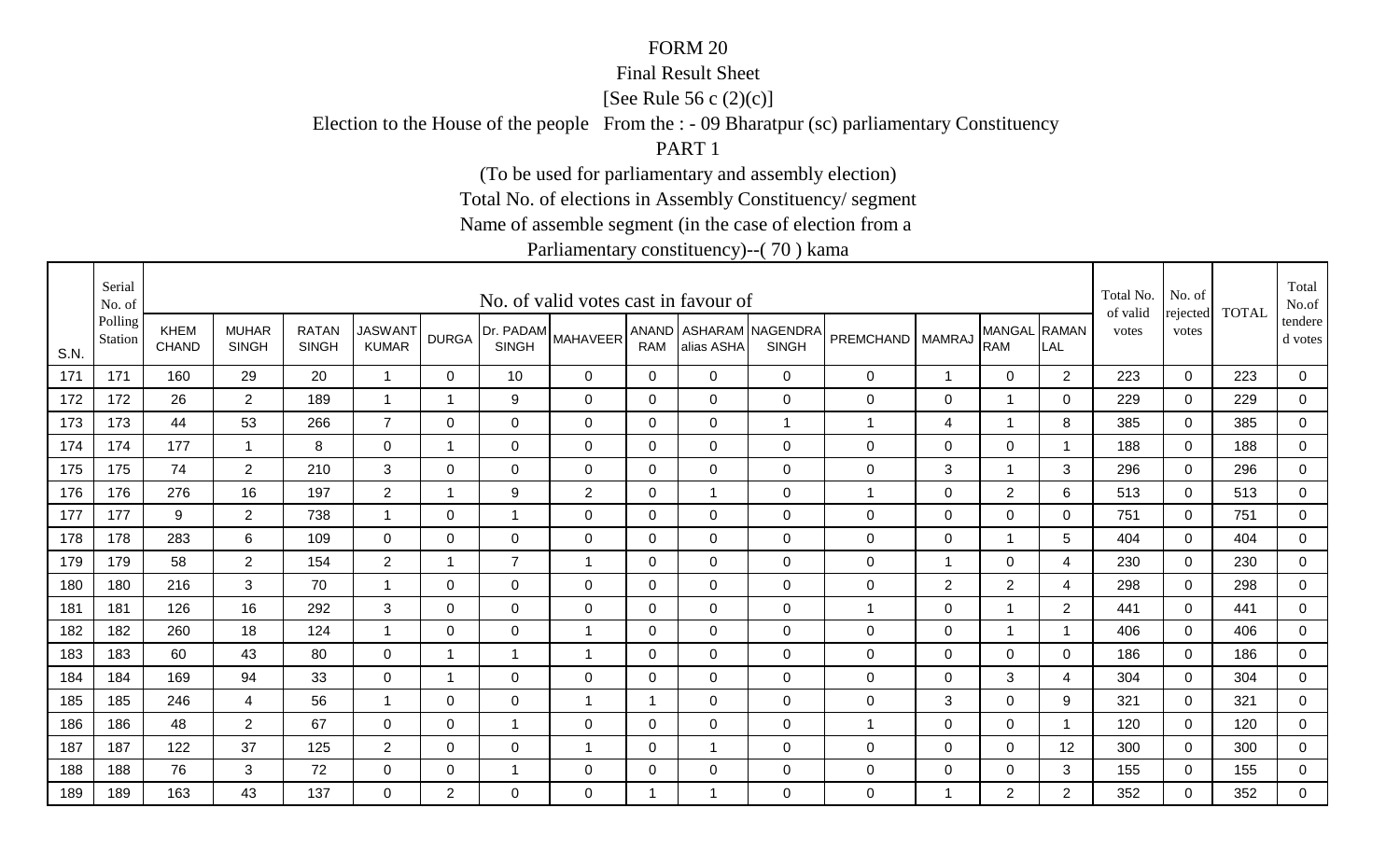#### Final Result Sheet

[See Rule 56 c (2)(c)]

Election to the House of the people From the : - 09 Bharatpur (sc) parliamentary Constituency

PART 1

(To be used for parliamentary and assembly election)

Total No. of elections in Assembly Constituency/ segment

Name of assemble segment (in the case of election from a

|      | Serial<br>No. of   |                             |                              |                              |                                |                |                           | No. of valid votes cast in favour of |                |                |                                        |              |                |                            |                | Total No.<br>of valid | No. of<br>rejected | <b>TOTAL</b> | Total<br>No.of       |
|------|--------------------|-----------------------------|------------------------------|------------------------------|--------------------------------|----------------|---------------------------|--------------------------------------|----------------|----------------|----------------------------------------|--------------|----------------|----------------------------|----------------|-----------------------|--------------------|--------------|----------------------|
| S.N. | Polling<br>Station | <b>KHEM</b><br><b>CHAND</b> | <b>MUHAR</b><br><b>SINGH</b> | <b>RATAN</b><br><b>SINGH</b> | <b>JASWANT</b><br><b>KUMAR</b> | <b>DURGA</b>   | Dr. PADAM<br><b>SINGH</b> | <b>MAHAVEER</b>                      | <b>RAM</b>     | alias ASHA     | ANAND ASHARAM NAGENDRA<br><b>SINGH</b> | PREMCHAND    | <b>MAMRAJ</b>  | MANGAL RAMAN<br><b>RAM</b> | LAL            | votes                 | votes              |              | tendere  <br>d votes |
| 171  | 171                | 160                         | 29                           | 20                           | $\overline{1}$                 | $\mathbf 0$    | 10                        | $\mathbf 0$                          | $\mathbf 0$    | $\overline{0}$ | $\mathbf 0$                            | 0            | $\mathbf 1$    | $\mathbf 0$                | $\overline{2}$ | 223                   | $\mathbf 0$        | 223          | $\overline{0}$       |
| 172  | 172                | 26                          | $\overline{2}$               | 189                          | -1                             | $\overline{1}$ | 9                         | $\mathbf 0$                          | 0              | $\Omega$       | $\mathbf 0$                            | $\mathbf 0$  | 0              | -1                         | $\mathbf 0$    | 229                   | $\Omega$           | 229          | $\mathbf 0$          |
| 173  | 173                | 44                          | 53                           | 266                          | $\overline{7}$                 | 0              | $\mathbf 0$               | $\mathbf 0$                          | $\mathbf 0$    | $\mathbf 0$    | $\overline{1}$                         | 1            | 4              | $\mathbf 1$                | 8              | 385                   | $\mathbf 0$        | 385          | 0                    |
| 174  | 174                | 177                         | $\mathbf 1$                  | 8                            | $\mathbf 0$                    | $\mathbf 1$    | $\mathbf 0$               | $\mathbf 0$                          | 0              | 0              | $\mathbf 0$                            | 0            | 0              | $\mathbf 0$                | -1             | 188                   | $\mathbf 0$        | 188          | 0                    |
| 175  | 175                | 74                          | $\overline{2}$               | 210                          | 3                              | $\Omega$       | 0                         | $\mathbf 0$                          | 0              | $\Omega$       | $\mathbf 0$                            | 0            | 3              | $\mathbf{1}$               | 3              | 296                   | $\mathbf 0$        | 296          | $\overline{0}$       |
| 176  | 176                | 276                         | 16                           | 197                          | $\overline{2}$                 | $\overline{1}$ | 9                         | $\sqrt{2}$                           | $\mathbf 0$    |                | $\mathbf 0$                            | $\mathbf{1}$ | $\mathbf 0$    | $\overline{2}$             | 6              | 513                   | $\mathbf 0$        | 513          | $\mathbf 0$          |
| 177  | 177                | 9                           | $\overline{2}$               | 738                          | -1                             | 0              | $\overline{1}$            | $\mathbf 0$                          | 0              | $\Omega$       | $\mathbf 0$                            | $\mathbf 0$  | $\mathbf 0$    | 0                          | 0              | 751                   | $\Omega$           | 751          | 0                    |
| 178  | 178                | 283                         | 6                            | 109                          | $\overline{0}$                 | 0              | $\mathbf 0$               | $\mathbf 0$                          | 0              | $\Omega$       | $\mathbf 0$                            | $\mathsf 0$  | $\mathbf 0$    | 1                          | 5              | 404                   | $\mathbf 0$        | 404          | $\mathbf 0$          |
| 179  | 179                | 58                          | $\overline{2}$               | 154                          | $\overline{2}$                 | $\mathbf 1$    | $\overline{7}$            | $\overline{1}$                       | $\mathbf{0}$   | $\mathbf 0$    | $\mathbf 0$                            | $\mathbf 0$  | -1             | $\mathbf 0$                | 4              | 230                   | $\mathbf 0$        | 230          | 0                    |
| 180  | 180                | 216                         | 3                            | 70                           | $\overline{1}$                 | $\mathbf 0$    | $\mathbf 0$               | $\mathbf 0$                          | $\mathbf 0$    | $\overline{0}$ | $\mathbf 0$                            | $\mathsf 0$  | $\overline{2}$ | $\overline{2}$             | 4              | 298                   | $\mathbf 0$        | 298          | $\overline{0}$       |
| 181  | 181                | 126                         | 16                           | 292                          | 3                              | 0              | $\mathbf 0$               | $\mathbf 0$                          | 0              | 0              | $\mathbf 0$                            | $\mathbf{1}$ | $\mathbf 0$    | $\mathbf 1$                | $\overline{2}$ | 441                   | $\Omega$           | 441          | 0                    |
| 182  | 182                | 260                         | 18                           | 124                          |                                | 0              | $\mathsf 0$               | -1                                   | 0              | $\mathbf 0$    | $\mathbf 0$                            | $\mathbf 0$  | $\mathbf 0$    |                            | -1             | 406                   | $\mathbf 0$        | 406          | 0                    |
| 183  | 183                | 60                          | 43                           | 80                           | $\mathbf 0$                    | $\mathbf 1$    | 1                         | $\overline{1}$                       | 0              | $\mathbf 0$    | $\mathbf 0$                            | $\pmb{0}$    | $\mathbf 0$    | $\mathbf 0$                | $\mathbf 0$    | 186                   | $\mathbf 0$        | 186          | $\overline{0}$       |
| 184  | 184                | 169                         | 94                           | 33                           | 0                              | $\mathbf 1$    | 0                         | $\Omega$                             | $\mathbf{0}$   | $\Omega$       | $\mathbf 0$                            | 0            | 0              | 3                          | 4              | 304                   | $\Omega$           | 304          | 0                    |
| 185  | 185                | 246                         | $\overline{4}$               | 56                           | $\overline{\mathbf{1}}$        | $\mathbf 0$    | $\mathbf 0$               | $\overline{1}$                       | $\overline{1}$ | $\mathbf 0$    | $\mathbf 0$                            | $\mathbf 0$  | 3              | $\mathbf 0$                | 9              | 321                   | $\mathbf 0$        | 321          | $\overline{0}$       |
| 186  | 186                | 48                          | $\overline{2}$               | 67                           | 0                              | 0              | $\overline{1}$            | 0                                    | 0              | 0              | $\mathbf 0$                            | $\mathbf{1}$ | 0              | $\mathbf 0$                | - 1            | 120                   | 0                  | 120          | 0                    |
| 187  | 187                | 122                         | 37                           | 125                          | $\overline{2}$                 | 0              | $\mathbf 0$               | $\overline{1}$                       | $\mathbf 0$    |                | $\mathbf 0$                            | $\mathbf 0$  | $\mathbf 0$    | $\mathbf 0$                | 12             | 300                   | 0                  | 300          | 0                    |
| 188  | 188                | 76                          | 3                            | 72                           | 0                              | 0              | -1                        | 0                                    | 0              | 0              | $\mathbf 0$                            | $\mathbf 0$  | 0              | $\mathbf 0$                | 3              | 155                   | $\mathbf 0$        | 155          | $\overline{0}$       |
| 189  | 189                | 163                         | 43                           | 137                          | $\overline{0}$                 | $\overline{2}$ | 0                         | 0                                    | -1             |                | $\mathbf 0$                            | 0            | $\overline{1}$ | $\overline{2}$             | $\overline{2}$ | 352                   | $\Omega$           | 352          | $\overline{0}$       |